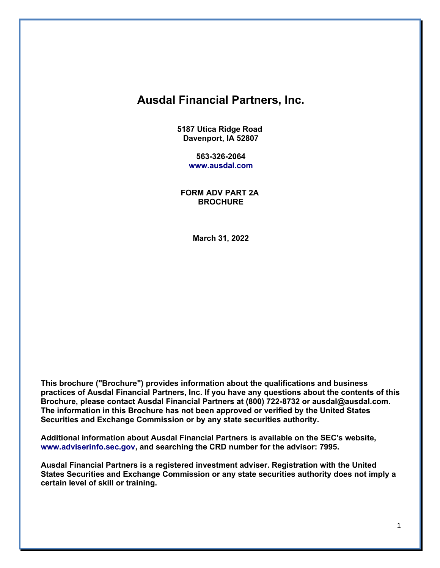# **Ausdal Financial Partners, Inc.**

**5187 Utica Ridge Road Davenport, IA 52807**

> **563-326-2064 [www.ausdal.com](http://www.ausdal.com/)**

**FORM ADV PART 2A BROCHURE**

**March 31, 2022**

**This brochure ("Brochure") provides information about the qualifications and business practices of Ausdal Financial Partners, Inc. If you have any questions about the contents of this Brochure, please contact Ausdal Financial Partners at (800) 722-8732 or ausdal@ausdal.com. The information in this Brochure has not been approved or verified by the United States Securities and Exchange Commission or by any state securities authority.**

**Additional information about Ausdal Financial Partners is available on the SEC's website, [www.adviserinfo.sec.gov,](http://www.adviserinfo.sec.gov/) and searching the CRD number for the advisor: 7995.**

**Ausdal Financial Partners is a registered investment adviser. Registration with the United States Securities and Exchange Commission or any state securities authority does not imply a certain level of skill or training.**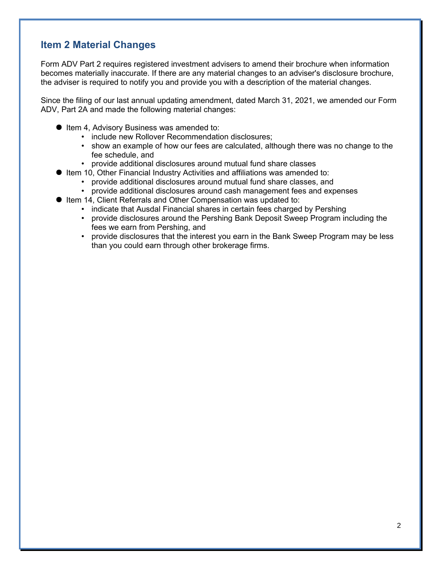## **Item 2 Material Changes**

Form ADV Part 2 requires registered investment advisers to amend their brochure when information becomes materially inaccurate. If there are any material changes to an adviser's disclosure brochure, the adviser is required to notify you and provide you with a description of the material changes.

Since the filing of our last annual updating amendment, dated March 31, 2021, we amended our Form ADV, Part 2A and made the following material changes:

- Item 4, Advisory Business was amended to:
	- include new Rollover Recommendation disclosures;
	- show an example of how our fees are calculated, although there was no change to the fee schedule, and
	- provide additional disclosures around mutual fund share classes
- Item 10, Other Financial Industry Activities and affiliations was amended to:
	- provide additional disclosures around mutual fund share classes, and
	- provide additional disclosures around cash management fees and expenses
- Item 14, Client Referrals and Other Compensation was updated to:
	- indicate that Ausdal Financial shares in certain fees charged by Pershing
	- provide disclosures around the Pershing Bank Deposit Sweep Program including the fees we earn from Pershing, and
	- provide disclosures that the interest you earn in the Bank Sweep Program may be less than you could earn through other brokerage firms.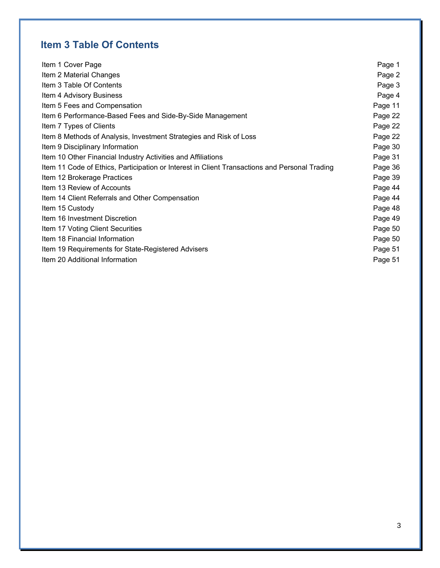# **Item 3 Table Of Contents**

| Item 1 Cover Page                                                                             | Page 1  |
|-----------------------------------------------------------------------------------------------|---------|
| Item 2 Material Changes                                                                       | Page 2  |
| Item 3 Table Of Contents                                                                      | Page 3  |
| Item 4 Advisory Business                                                                      | Page 4  |
| Item 5 Fees and Compensation                                                                  | Page 11 |
| Item 6 Performance-Based Fees and Side-By-Side Management                                     | Page 22 |
| Item 7 Types of Clients                                                                       | Page 22 |
| Item 8 Methods of Analysis, Investment Strategies and Risk of Loss                            | Page 22 |
| Item 9 Disciplinary Information                                                               | Page 30 |
| Item 10 Other Financial Industry Activities and Affiliations                                  | Page 31 |
| Item 11 Code of Ethics, Participation or Interest in Client Transactions and Personal Trading | Page 36 |
| Item 12 Brokerage Practices                                                                   | Page 39 |
| Item 13 Review of Accounts                                                                    | Page 44 |
| Item 14 Client Referrals and Other Compensation                                               | Page 44 |
| Item 15 Custody                                                                               | Page 48 |
| Item 16 Investment Discretion                                                                 | Page 49 |
| Item 17 Voting Client Securities                                                              | Page 50 |
| Item 18 Financial Information                                                                 | Page 50 |
| Item 19 Requirements for State-Registered Advisers                                            | Page 51 |
| Item 20 Additional Information                                                                | Page 51 |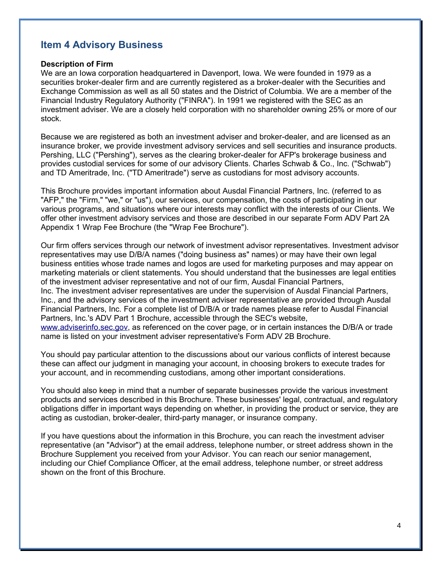## **Item 4 Advisory Business**

#### **Description of Firm**

We are an Iowa corporation headquartered in Davenport, Iowa. We were founded in 1979 as a securities broker-dealer firm and are currently registered as a broker-dealer with the Securities and Exchange Commission as well as all 50 states and the District of Columbia. We are a member of the Financial Industry Regulatory Authority ("FINRA"). In 1991 we registered with the SEC as an investment adviser. We are a closely held corporation with no shareholder owning 25% or more of our stock.

Because we are registered as both an investment adviser and broker-dealer, and are licensed as an insurance broker, we provide investment advisory services and sell securities and insurance products. Pershing, LLC ("Pershing"), serves as the clearing broker-dealer for AFP's brokerage business and provides custodial services for some of our advisory Clients. Charles Schwab & Co., Inc. ("Schwab") and TD Ameritrade, Inc. ("TD Ameritrade") serve as custodians for most advisory accounts.

This Brochure provides important information about Ausdal Financial Partners, Inc. (referred to as "AFP," the "Firm," "we," or "us"), our services, our compensation, the costs of participating in our various programs, and situations where our interests may conflict with the interests of our Clients. We offer other investment advisory services and those are described in our separate Form ADV Part 2A Appendix 1 Wrap Fee Brochure (the "Wrap Fee Brochure").

Our firm offers services through our network of investment advisor representatives. Investment advisor representatives may use D/B/A names ("doing business as" names) or may have their own legal business entities whose trade names and logos are used for marketing purposes and may appear on marketing materials or client statements. You should understand that the businesses are legal entities of the investment adviser representative and not of our firm, Ausdal Financial Partners, Inc. The investment adviser representatives are under the supervision of Ausdal Financial Partners, Inc., and the advisory services of the investment adviser representative are provided through Ausdal Financial Partners, Inc. For a complete list of D/B/A or trade names please refer to Ausdal Financial Partners, Inc.'s ADV Part 1 Brochure, accessible through the SEC's website, [www.adviserinfo.sec.gov,](http://www.adviserinfo.sec.gov/) as referenced on the cover page, or in certain instances the D/B/A or trade name is listed on your investment adviser representative's Form ADV 2B Brochure.

You should pay particular attention to the discussions about our various conflicts of interest because these can affect our judgment in managing your account, in choosing brokers to execute trades for your account, and in recommending custodians, among other important considerations.

You should also keep in mind that a number of separate businesses provide the various investment products and services described in this Brochure. These businesses' legal, contractual, and regulatory obligations differ in important ways depending on whether, in providing the product or service, they are acting as custodian, broker-dealer, third-party manager, or insurance company.

If you have questions about the information in this Brochure, you can reach the investment adviser representative (an "Advisor") at the email address, telephone number, or street address shown in the Brochure Supplement you received from your Advisor. You can reach our senior management, including our Chief Compliance Officer, at the email address, telephone number, or street address shown on the front of this Brochure.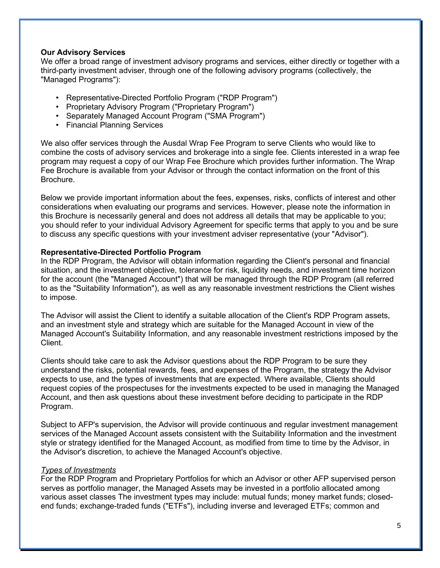## **Our Advisory Services**

We offer a broad range of investment advisory programs and services, either directly or together with a third-party investment adviser, through one of the following advisory programs (collectively, the "Managed Programs"):

- Representative-Directed Portfolio Program ("RDP Program")
- Proprietary Advisory Program ("Proprietary Program")
- Separately Managed Account Program ("SMA Program")
- Financial Planning Services

We also offer services through the Ausdal Wrap Fee Program to serve Clients who would like to combine the costs of advisory services and brokerage into a single fee. Clients interested in a wrap fee program may request a copy of our Wrap Fee Brochure which provides further information. The Wrap Fee Brochure is available from your Advisor or through the contact information on the front of this Brochure.

Below we provide important information about the fees, expenses, risks, conflicts of interest and other considerations when evaluating our programs and services. However, please note the information in this Brochure is necessarily general and does not address all details that may be applicable to you; you should refer to your individual Advisory Agreement for specific terms that apply to you and be sure to discuss any specific questions with your investment adviser representative (your "Advisor").

#### **Representative-Directed Portfolio Program**

In the RDP Program, the Advisor will obtain information regarding the Client's personal and financial situation, and the investment objective, tolerance for risk, liquidity needs, and investment time horizon for the account (the "Managed Account") that will be managed through the RDP Program (all referred to as the "Suitability Information"), as well as any reasonable investment restrictions the Client wishes to impose.

The Advisor will assist the Client to identify a suitable allocation of the Client's RDP Program assets, and an investment style and strategy which are suitable for the Managed Account in view of the Managed Account's Suitability Information, and any reasonable investment restrictions imposed by the Client.

Clients should take care to ask the Advisor questions about the RDP Program to be sure they understand the risks, potential rewards, fees, and expenses of the Program, the strategy the Advisor expects to use, and the types of investments that are expected. Where available, Clients should request copies of the prospectuses for the investments expected to be used in managing the Managed Account, and then ask questions about these investment before deciding to participate in the RDP Program.

Subject to AFP's supervision, the Advisor will provide continuous and regular investment management services of the Managed Account assets consistent with the Suitability Information and the investment style or strategy identified for the Managed Account, as modified from time to time by the Advisor, in the Advisor's discretion, to achieve the Managed Account's objective.

#### *Types of Investments*

For the RDP Program and Proprietary Portfolios for which an Advisor or other AFP supervised person serves as portfolio manager, the Managed Assets may be invested in a portfolio allocated among various asset classes The investment types may include: mutual funds; money market funds; closedend funds; exchange-traded funds ("ETFs"), including inverse and leveraged ETFs; common and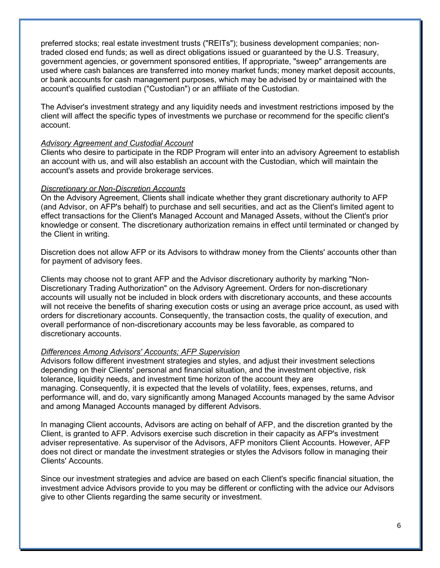preferred stocks; real estate investment trusts ("REITs"); business development companies; nontraded closed end funds; as well as direct obligations issued or guaranteed by the U.S. Treasury, government agencies, or government sponsored entities, If appropriate, "sweep" arrangements are used where cash balances are transferred into money market funds; money market deposit accounts, or bank accounts for cash management purposes, which may be advised by or maintained with the account's qualified custodian ("Custodian") or an affiliate of the Custodian.

The Adviser's investment strategy and any liquidity needs and investment restrictions imposed by the client will affect the specific types of investments we purchase or recommend for the specific client's account.

#### *Advisory Agreement and Custodial Account*

Clients who desire to participate in the RDP Program will enter into an advisory Agreement to establish an account with us, and will also establish an account with the Custodian, which will maintain the account's assets and provide brokerage services.

#### *Discretionary or Non-Discretion Accounts*

On the Advisory Agreement, Clients shall indicate whether they grant discretionary authority to AFP (and Advisor, on AFP's behalf) to purchase and sell securities, and act as the Client's limited agent to effect transactions for the Client's Managed Account and Managed Assets, without the Client's prior knowledge or consent. The discretionary authorization remains in effect until terminated or changed by the Client in writing.

Discretion does not allow AFP or its Advisors to withdraw money from the Clients' accounts other than for payment of advisory fees.

Clients may choose not to grant AFP and the Advisor discretionary authority by marking "Non-Discretionary Trading Authorization" on the Advisory Agreement. Orders for non-discretionary accounts will usually not be included in block orders with discretionary accounts, and these accounts will not receive the benefits of sharing execution costs or using an average price account, as used with orders for discretionary accounts. Consequently, the transaction costs, the quality of execution, and overall performance of non-discretionary accounts may be less favorable, as compared to discretionary accounts.

#### *Differences Among Advisors' Accounts; AFP Supervision*

Advisors follow different investment strategies and styles, and adjust their investment selections depending on their Clients' personal and financial situation, and the investment objective, risk tolerance, liquidity needs, and investment time horizon of the account they are managing. Consequently, it is expected that the levels of volatility, fees, expenses, returns, and performance will, and do, vary significantly among Managed Accounts managed by the same Advisor and among Managed Accounts managed by different Advisors.

In managing Client accounts, Advisors are acting on behalf of AFP, and the discretion granted by the Client, is granted to AFP. Advisors exercise such discretion in their capacity as AFP's investment adviser representative. As supervisor of the Advisors, AFP monitors Client Accounts. However, AFP does not direct or mandate the investment strategies or styles the Advisors follow in managing their Clients' Accounts.

Since our investment strategies and advice are based on each Client's specific financial situation, the investment advice Advisors provide to you may be different or conflicting with the advice our Advisors give to other Clients regarding the same security or investment.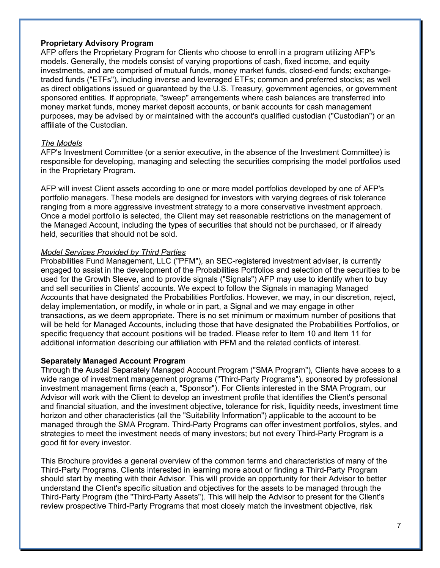## **Proprietary Advisory Program**

AFP offers the Proprietary Program for Clients who choose to enroll in a program utilizing AFP's models. Generally, the models consist of varying proportions of cash, fixed income, and equity investments, and are comprised of mutual funds, money market funds, closed-end funds; exchangetraded funds ("ETFs"), including inverse and leveraged ETFs; common and preferred stocks; as well as direct obligations issued or guaranteed by the U.S. Treasury, government agencies, or government sponsored entities. If appropriate, "sweep" arrangements where cash balances are transferred into money market funds, money market deposit accounts, or bank accounts for cash management purposes, may be advised by or maintained with the account's qualified custodian ("Custodian") or an affiliate of the Custodian.

#### *The Models*

AFP's Investment Committee (or a senior executive, in the absence of the Investment Committee) is responsible for developing, managing and selecting the securities comprising the model portfolios used in the Proprietary Program.

AFP will invest Client assets according to one or more model portfolios developed by one of AFP's portfolio managers. These models are designed for investors with varying degrees of risk tolerance ranging from a more aggressive investment strategy to a more conservative investment approach. Once a model portfolio is selected, the Client may set reasonable restrictions on the management of the Managed Account, including the types of securities that should not be purchased, or if already held, securities that should not be sold.

## *Model Services Provided by Third Parties*

Probabilities Fund Management, LLC ("PFM"), an SEC-registered investment adviser, is currently engaged to assist in the development of the Probabilities Portfolios and selection of the securities to be used for the Growth Sleeve, and to provide signals ("Signals") AFP may use to identify when to buy and sell securities in Clients' accounts. We expect to follow the Signals in managing Managed Accounts that have designated the Probabilities Portfolios. However, we may, in our discretion, reject, delay implementation, or modify, in whole or in part, a Signal and we may engage in other transactions, as we deem appropriate. There is no set minimum or maximum number of positions that will be held for Managed Accounts, including those that have designated the Probabilities Portfolios, or specific frequency that account positions will be traded. Please refer to Item 10 and Item 11 for additional information describing our affiliation with PFM and the related conflicts of interest.

## **Separately Managed Account Program**

Through the Ausdal Separately Managed Account Program ("SMA Program"), Clients have access to a wide range of investment management programs ("Third-Party Programs"), sponsored by professional investment management firms (each a, "Sponsor"). For Clients interested in the SMA Program, our Advisor will work with the Client to develop an investment profile that identifies the Client's personal and financial situation, and the investment objective, tolerance for risk, liquidity needs, investment time horizon and other characteristics (all the "Suitability Information") applicable to the account to be managed through the SMA Program. Third-Party Programs can offer investment portfolios, styles, and strategies to meet the investment needs of many investors; but not every Third-Party Program is a good fit for every investor.

This Brochure provides a general overview of the common terms and characteristics of many of the Third-Party Programs. Clients interested in learning more about or finding a Third-Party Program should start by meeting with their Advisor. This will provide an opportunity for their Advisor to better understand the Client's specific situation and objectives for the assets to be managed through the Third-Party Program (the "Third-Party Assets"). This will help the Advisor to present for the Client's review prospective Third-Party Programs that most closely match the investment objective, risk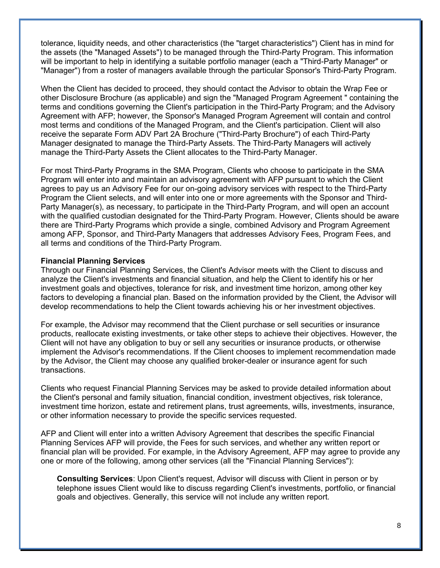tolerance, liquidity needs, and other characteristics (the "target characteristics") Client has in mind for the assets (the "Managed Assets") to be managed through the Third-Party Program. This information will be important to help in identifying a suitable portfolio manager (each a "Third-Party Manager" or "Manager") from a roster of managers available through the particular Sponsor's Third-Party Program.

When the Client has decided to proceed, they should contact the Advisor to obtain the Wrap Fee or other Disclosure Brochure (as applicable) and sign the "Managed Program Agreement " containing the terms and conditions governing the Client's participation in the Third-Party Program; and the Advisory Agreement with AFP; however, the Sponsor's Managed Program Agreement will contain and control most terms and conditions of the Managed Program, and the Client's participation. Client will also receive the separate Form ADV Part 2A Brochure ("Third-Party Brochure") of each Third-Party Manager designated to manage the Third-Party Assets. The Third-Party Managers will actively manage the Third-Party Assets the Client allocates to the Third-Party Manager.

For most Third-Party Programs in the SMA Program, Clients who choose to participate in the SMA Program will enter into and maintain an advisory agreement with AFP pursuant to which the Client agrees to pay us an Advisory Fee for our on-going advisory services with respect to the Third-Party Program the Client selects, and will enter into one or more agreements with the Sponsor and Third-Party Manager(s), as necessary, to participate in the Third-Party Program, and will open an account with the qualified custodian designated for the Third-Party Program. However, Clients should be aware there are Third-Party Programs which provide a single, combined Advisory and Program Agreement among AFP, Sponsor, and Third-Party Managers that addresses Advisory Fees, Program Fees, and all terms and conditions of the Third-Party Program.

#### **Financial Planning Services**

Through our Financial Planning Services, the Client's Advisor meets with the Client to discuss and analyze the Client's investments and financial situation, and help the Client to identify his or her investment goals and objectives, tolerance for risk, and investment time horizon, among other key factors to developing a financial plan. Based on the information provided by the Client, the Advisor will develop recommendations to help the Client towards achieving his or her investment objectives.

For example, the Advisor may recommend that the Client purchase or sell securities or insurance products, reallocate existing investments, or take other steps to achieve their objectives. However, the Client will not have any obligation to buy or sell any securities or insurance products, or otherwise implement the Advisor's recommendations. If the Client chooses to implement recommendation made by the Advisor, the Client may choose any qualified broker-dealer or insurance agent for such transactions.

Clients who request Financial Planning Services may be asked to provide detailed information about the Client's personal and family situation, financial condition, investment objectives, risk tolerance, investment time horizon, estate and retirement plans, trust agreements, wills, investments, insurance, or other information necessary to provide the specific services requested.

AFP and Client will enter into a written Advisory Agreement that describes the specific Financial Planning Services AFP will provide, the Fees for such services, and whether any written report or financial plan will be provided. For example, in the Advisory Agreement, AFP may agree to provide any one or more of the following, among other services (all the "Financial Planning Services"):

**Consulting Services**: Upon Client's request, Advisor will discuss with Client in person or by telephone issues Client would like to discuss regarding Client's investments, portfolio, or financial goals and objectives. Generally, this service will not include any written report.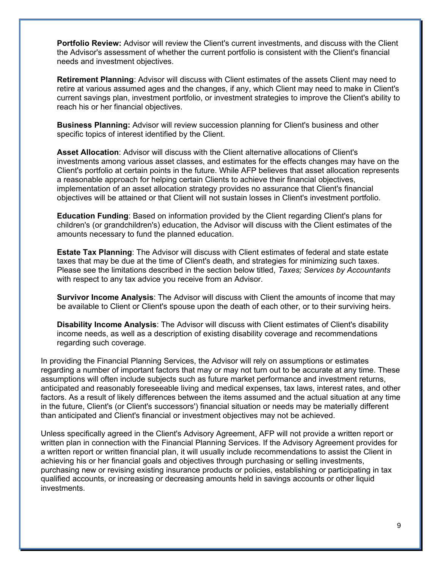**Portfolio Review:** Advisor will review the Client's current investments, and discuss with the Client the Advisor's assessment of whether the current portfolio is consistent with the Client's financial needs and investment objectives.

**Retirement Planning**: Advisor will discuss with Client estimates of the assets Client may need to retire at various assumed ages and the changes, if any, which Client may need to make in Client's current savings plan, investment portfolio, or investment strategies to improve the Client's ability to reach his or her financial objectives.

**Business Planning:** Advisor will review succession planning for Client's business and other specific topics of interest identified by the Client.

**Asset Allocation**: Advisor will discuss with the Client alternative allocations of Client's investments among various asset classes, and estimates for the effects changes may have on the Client's portfolio at certain points in the future. While AFP believes that asset allocation represents a reasonable approach for helping certain Clients to achieve their financial objectives, implementation of an asset allocation strategy provides no assurance that Client's financial objectives will be attained or that Client will not sustain losses in Client's investment portfolio.

**Education Funding**: Based on information provided by the Client regarding Client's plans for children's (or grandchildren's) education, the Advisor will discuss with the Client estimates of the amounts necessary to fund the planned education.

**Estate Tax Planning**: The Advisor will discuss with Client estimates of federal and state estate taxes that may be due at the time of Client's death, and strategies for minimizing such taxes. Please see the limitations described in the section below titled, *Taxes; Services by Accountants*  with respect to any tax advice you receive from an Advisor.

**Survivor Income Analysis**: The Advisor will discuss with Client the amounts of income that may be available to Client or Client's spouse upon the death of each other, or to their surviving heirs.

**Disability Income Analysis**: The Advisor will discuss with Client estimates of Client's disability income needs, as well as a description of existing disability coverage and recommendations regarding such coverage.

In providing the Financial Planning Services, the Advisor will rely on assumptions or estimates regarding a number of important factors that may or may not turn out to be accurate at any time. These assumptions will often include subjects such as future market performance and investment returns, anticipated and reasonably foreseeable living and medical expenses, tax laws, interest rates, and other factors. As a result of likely differences between the items assumed and the actual situation at any time in the future, Client's (or Client's successors') financial situation or needs may be materially different than anticipated and Client's financial or investment objectives may not be achieved.

Unless specifically agreed in the Client's Advisory Agreement, AFP will not provide a written report or written plan in connection with the Financial Planning Services. If the Advisory Agreement provides for a written report or written financial plan, it will usually include recommendations to assist the Client in achieving his or her financial goals and objectives through purchasing or selling investments, purchasing new or revising existing insurance products or policies, establishing or participating in tax qualified accounts, or increasing or decreasing amounts held in savings accounts or other liquid investments.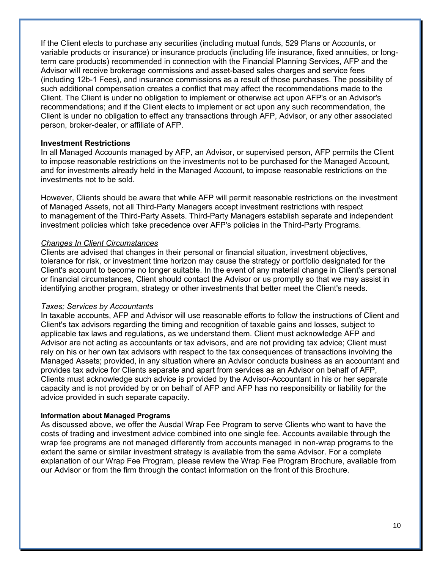If the Client elects to purchase any securities (including mutual funds, 529 Plans or Accounts, or variable products or insurance) or insurance products (including life insurance, fixed annuities, or longterm care products) recommended in connection with the Financial Planning Services, AFP and the Advisor will receive brokerage commissions and asset-based sales charges and service fees (including 12b-1 Fees), and insurance commissions as a result of those purchases. The possibility of such additional compensation creates a conflict that may affect the recommendations made to the Client. The Client is under no obligation to implement or otherwise act upon AFP's or an Advisor's recommendations; and if the Client elects to implement or act upon any such recommendation, the Client is under no obligation to effect any transactions through AFP, Advisor, or any other associated person, broker-dealer, or affiliate of AFP.

#### **Investment Restrictions**

In all Managed Accounts managed by AFP, an Advisor, or supervised person, AFP permits the Client to impose reasonable restrictions on the investments not to be purchased for the Managed Account, and for investments already held in the Managed Account, to impose reasonable restrictions on the investments not to be sold.

However, Clients should be aware that while AFP will permit reasonable restrictions on the investment of Managed Assets, not all Third-Party Managers accept investment restrictions with respect to management of the Third-Party Assets. Third-Party Managers establish separate and independent investment policies which take precedence over AFP's policies in the Third-Party Programs.

#### *Changes In Client Circumstances*

Clients are advised that changes in their personal or financial situation, investment objectives, tolerance for risk, or investment time horizon may cause the strategy or portfolio designated for the Client's account to become no longer suitable. In the event of any material change in Client's personal or financial circumstances, Client should contact the Advisor or us promptly so that we may assist in identifying another program, strategy or other investments that better meet the Client's needs.

#### *Taxes; Services by Accountants*

In taxable accounts, AFP and Advisor will use reasonable efforts to follow the instructions of Client and Client's tax advisors regarding the timing and recognition of taxable gains and losses, subject to applicable tax laws and regulations, as we understand them. Client must acknowledge AFP and Advisor are not acting as accountants or tax advisors, and are not providing tax advice; Client must rely on his or her own tax advisors with respect to the tax consequences of transactions involving the Managed Assets; provided, in any situation where an Advisor conducts business as an accountant and provides tax advice for Clients separate and apart from services as an Advisor on behalf of AFP, Clients must acknowledge such advice is provided by the Advisor-Accountant in his or her separate capacity and is not provided by or on behalf of AFP and AFP has no responsibility or liability for the advice provided in such separate capacity.

#### **Information about Managed Programs**

As discussed above, we offer the Ausdal Wrap Fee Program to serve Clients who want to have the costs of trading and investment advice combined into one single fee. Accounts available through the wrap fee programs are not managed differently from accounts managed in non-wrap programs to the extent the same or similar investment strategy is available from the same Advisor. For a complete explanation of our Wrap Fee Program, please review the Wrap Fee Program Brochure, available from our Advisor or from the firm through the contact information on the front of this Brochure.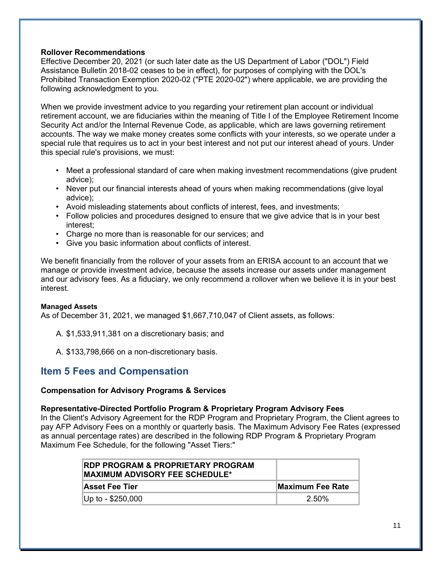## **Rollover Recommendations**

Effective December 20, 2021 (or such later date as the US Department of Labor ("DOL") Field Assistance Bulletin 2018-02 ceases to be in effect), for purposes of complying with the DOL's Prohibited Transaction Exemption 2020-02 ("PTE 2020-02") where applicable, we are providing the following acknowledgment to you.

When we provide investment advice to you regarding your retirement plan account or individual retirement account, we are fiduciaries within the meaning of Title I of the Employee Retirement Income Security Act and/or the Internal Revenue Code, as applicable, which are laws governing retirement accounts. The way we make money creates some conflicts with your interests, so we operate under a special rule that requires us to act in your best interest and not put our interest ahead of yours. Under this special rule's provisions, we must:

- Meet a professional standard of care when making investment recommendations (give prudent advice);
- Never put our financial interests ahead of yours when making recommendations (give loyal advice);
- Avoid misleading statements about conflicts of interest, fees, and investments;
- Follow policies and procedures designed to ensure that we give advice that is in your best interest;
- Charge no more than is reasonable for our services; and
- Give you basic information about conflicts of interest.

We benefit financially from the rollover of your assets from an ERISA account to an account that we manage or provide investment advice, because the assets increase our assets under management and our advisory fees. As a fiduciary, we only recommend a rollover when we believe it is in your best interest.

#### **Managed Assets**

As of December 31, 2021, we managed \$1,667,710,047 of Client assets, as follows:

A. \$1,533,911,381 on a discretionary basis; and

A. \$133,798,666 on a non-discretionary basis.

## **Item 5 Fees and Compensation**

#### **Compensation for Advisory Programs & Services**

#### **Representative-Directed Portfolio Program & Proprietary Program Advisory Fees**

In the Client's Advisory Agreement for the RDP Program and Proprietary Program, the Client agrees to pay AFP Advisory Fees on a monthly or quarterly basis. The Maximum Advisory Fee Rates (expressed as annual percentage rates) are described in the following RDP Program & Proprietary Program Maximum Fee Schedule, for the following "Asset Tiers:"

| <b>RDP PROGRAM &amp; PROPRIETARY PROGRAM</b><br><b>IMAXIMUM ADVISORY FEE SCHEDULE*</b> |                   |
|----------------------------------------------------------------------------------------|-------------------|
| ∣Asset Fee Tier                                                                        | lMaximum Fee Rate |
| $ Up to - $250,000 $                                                                   | $2.50\%$          |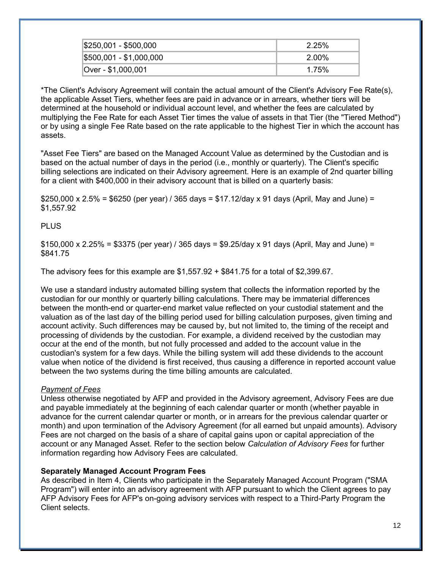| \$250,001 - \$500,000   | 2.25% |
|-------------------------|-------|
| \$500,001 - \$1,000,000 | 2.00% |
| Over - \$1,000,001      | 1.75% |

\*The Client's Advisory Agreement will contain the actual amount of the Client's Advisory Fee Rate(s), the applicable Asset Tiers, whether fees are paid in advance or in arrears, whether tiers will be determined at the household or individual account level, and whether the fees are calculated by multiplying the Fee Rate for each Asset Tier times the value of assets in that Tier (the "Tiered Method") or by using a single Fee Rate based on the rate applicable to the highest Tier in which the account has assets.

"Asset Fee Tiers" are based on the Managed Account Value as determined by the Custodian and is based on the actual number of days in the period (i.e., monthly or quarterly). The Client's specific billing selections are indicated on their Advisory agreement. Here is an example of 2nd quarter billing for a client with \$400,000 in their advisory account that is billed on a quarterly basis:

 $$250,000 \times 2.5\% = $6250$  (per year) / 365 days = \$17.12/day x 91 days (April, May and June) = \$1,557.92

PLUS

 $$150,000 \times 2.25\% = $3375$  (per year) / 365 days = \$9.25/day x 91 days (April, May and June) = \$841.75

The advisory fees for this example are  $$1,557.92 + $841.75$  for a total of  $$2,399.67$ .

We use a standard industry automated billing system that collects the information reported by the custodian for our monthly or quarterly billing calculations. There may be immaterial differences between the month-end or quarter-end market value reflected on your custodial statement and the valuation as of the last day of the billing period used for billing calculation purposes, given timing and account activity. Such differences may be caused by, but not limited to, the timing of the receipt and processing of dividends by the custodian. For example, a dividend received by the custodian may occur at the end of the month, but not fully processed and added to the account value in the custodian's system for a few days. While the billing system will add these dividends to the account value when notice of the dividend is first received, thus causing a difference in reported account value between the two systems during the time billing amounts are calculated.

## *Payment of Fees*

Unless otherwise negotiated by AFP and provided in the Advisory agreement, Advisory Fees are due and payable immediately at the beginning of each calendar quarter or month (whether payable in advance for the current calendar quarter or month, or in arrears for the previous calendar quarter or month) and upon termination of the Advisory Agreement (for all earned but unpaid amounts). Advisory Fees are not charged on the basis of a share of capital gains upon or capital appreciation of the account or any Managed Asset. Refer to the section below *Calculation of Advisory Fees* for further information regarding how Advisory Fees are calculated.

#### **Separately Managed Account Program Fees**

As described in Item 4, Clients who participate in the Separately Managed Account Program ("SMA Program") will enter into an advisory agreement with AFP pursuant to which the Client agrees to pay AFP Advisory Fees for AFP's on-going advisory services with respect to a Third-Party Program the Client selects.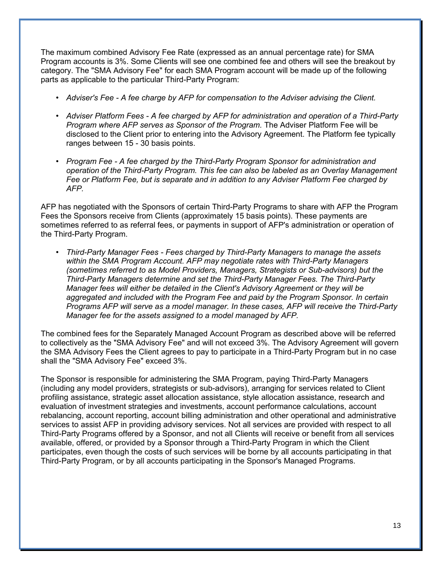The maximum combined Advisory Fee Rate (expressed as an annual percentage rate) for SMA Program accounts is 3%. Some Clients will see one combined fee and others will see the breakout by category. The "SMA Advisory Fee" for each SMA Program account will be made up of the following parts as applicable to the particular Third-Party Program:

- *Adviser's Fee A fee charge by AFP for compensation to the Adviser advising the Client.*
- *Adviser Platform Fees A fee charged by AFP for administration and operation of a Third-Party Program where AFP serves as Sponsor of the Program.* The Adviser Platform Fee will be disclosed to the Client prior to entering into the Advisory Agreement. The Platform fee typically ranges between 15 - 30 basis points.
- *Program Fee A fee charged by the Third-Party Program Sponsor for administration and operation of the Third-Party Program. This fee can also be labeled as an Overlay Management Fee or Platform Fee, but is separate and in addition to any Adviser Platform Fee charged by AFP.*

AFP has negotiated with the Sponsors of certain Third-Party Programs to share with AFP the Program Fees the Sponsors receive from Clients (approximately 15 basis points). These payments are sometimes referred to as referral fees, or payments in support of AFP's administration or operation of the Third-Party Program.

• *Third-Party Manager Fees - Fees charged by Third-Party Managers to manage the assets within the SMA Program Account. AFP may negotiate rates with Third-Party Managers (sometimes referred to as Model Providers, Managers, Strategists or Sub-advisors) but the Third-Party Managers determine and set the Third-Party Manager Fees. The Third-Party Manager fees will either be detailed in the Client's Advisory Agreement or they will be aggregated and included with the Program Fee and paid by the Program Sponsor. In certain Programs AFP will serve as a model manager. In these cases, AFP will receive the Third-Party Manager fee for the assets assigned to a model managed by AFP.*

The combined fees for the Separately Managed Account Program as described above will be referred to collectively as the "SMA Advisory Fee" and will not exceed 3%. The Advisory Agreement will govern the SMA Advisory Fees the Client agrees to pay to participate in a Third-Party Program but in no case shall the "SMA Advisory Fee" exceed 3%.

The Sponsor is responsible for administering the SMA Program, paying Third-Party Managers (including any model providers, strategists or sub-advisors), arranging for services related to Client profiling assistance, strategic asset allocation assistance, style allocation assistance, research and evaluation of investment strategies and investments, account performance calculations, account rebalancing, account reporting, account billing administration and other operational and administrative services to assist AFP in providing advisory services. Not all services are provided with respect to all Third-Party Programs offered by a Sponsor, and not all Clients will receive or benefit from all services available, offered, or provided by a Sponsor through a Third-Party Program in which the Client participates, even though the costs of such services will be borne by all accounts participating in that Third-Party Program, or by all accounts participating in the Sponsor's Managed Programs.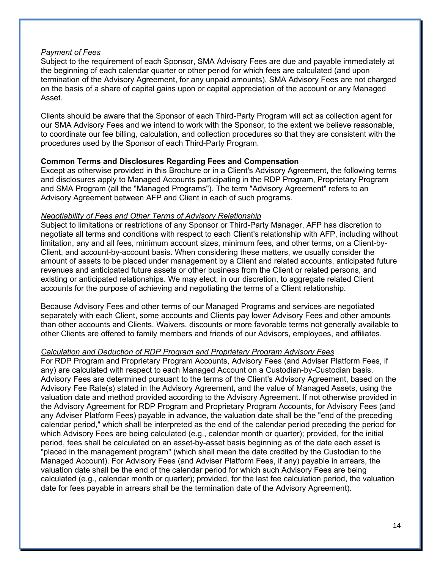#### *Payment of Fees*

Subject to the requirement of each Sponsor, SMA Advisory Fees are due and payable immediately at the beginning of each calendar quarter or other period for which fees are calculated (and upon termination of the Advisory Agreement, for any unpaid amounts). SMA Advisory Fees are not charged on the basis of a share of capital gains upon or capital appreciation of the account or any Managed Asset.

Clients should be aware that the Sponsor of each Third-Party Program will act as collection agent for our SMA Advisory Fees and we intend to work with the Sponsor, to the extent we believe reasonable, to coordinate our fee billing, calculation, and collection procedures so that they are consistent with the procedures used by the Sponsor of each Third-Party Program.

#### **Common Terms and Disclosures Regarding Fees and Compensation**

Except as otherwise provided in this Brochure or in a Client's Advisory Agreement, the following terms and disclosures apply to Managed Accounts participating in the RDP Program, Proprietary Program and SMA Program (all the "Managed Programs"). The term "Advisory Agreement" refers to an Advisory Agreement between AFP and Client in each of such programs.

#### *Negotiability of Fees and Other Terms of Advisory Relationship*

Subject to limitations or restrictions of any Sponsor or Third-Party Manager, AFP has discretion to negotiate all terms and conditions with respect to each Client's relationship with AFP, including without limitation, any and all fees, minimum account sizes, minimum fees, and other terms, on a Client-by-Client, and account-by-account basis. When considering these matters, we usually consider the amount of assets to be placed under management by a Client and related accounts, anticipated future revenues and anticipated future assets or other business from the Client or related persons, and existing or anticipated relationships. We may elect, in our discretion, to aggregate related Client accounts for the purpose of achieving and negotiating the terms of a Client relationship.

Because Advisory Fees and other terms of our Managed Programs and services are negotiated separately with each Client, some accounts and Clients pay lower Advisory Fees and other amounts than other accounts and Clients. Waivers, discounts or more favorable terms not generally available to other Clients are offered to family members and friends of our Advisors, employees, and affiliates.

#### *Calculation and Deduction of RDP Program and Proprietary Program Advisory Fees*

For RDP Program and Proprietary Program Accounts, Advisory Fees (and Adviser Platform Fees, if any) are calculated with respect to each Managed Account on a Custodian-by-Custodian basis. Advisory Fees are determined pursuant to the terms of the Client's Advisory Agreement, based on the Advisory Fee Rate(s) stated in the Advisory Agreement, and the value of Managed Assets, using the valuation date and method provided according to the Advisory Agreement. If not otherwise provided in the Advisory Agreement for RDP Program and Proprietary Program Accounts, for Advisory Fees (and any Adviser Platform Fees) payable in advance, the valuation date shall be the "end of the preceding calendar period," which shall be interpreted as the end of the calendar period preceding the period for which Advisory Fees are being calculated (e.g., calendar month or quarter); provided, for the initial period, fees shall be calculated on an asset-by-asset basis beginning as of the date each asset is "placed in the management program" (which shall mean the date credited by the Custodian to the Managed Account). For Advisory Fees (and Adviser Platform Fees, if any) payable in arrears, the valuation date shall be the end of the calendar period for which such Advisory Fees are being calculated (e.g., calendar month or quarter); provided, for the last fee calculation period, the valuation date for fees payable in arrears shall be the termination date of the Advisory Agreement).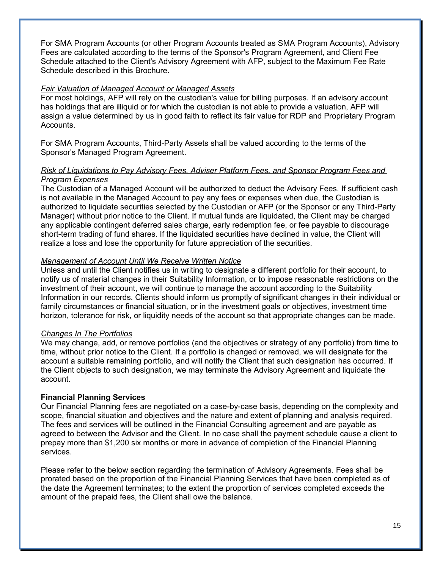For SMA Program Accounts (or other Program Accounts treated as SMA Program Accounts), Advisory Fees are calculated according to the terms of the Sponsor's Program Agreement, and Client Fee Schedule attached to the Client's Advisory Agreement with AFP, subject to the Maximum Fee Rate Schedule described in this Brochure.

## *Fair Valuation of Managed Account or Managed Assets*

For most holdings, AFP will rely on the custodian's value for billing purposes. If an advisory account has holdings that are illiquid or for which the custodian is not able to provide a valuation, AFP will assign a value determined by us in good faith to reflect its fair value for RDP and Proprietary Program Accounts.

For SMA Program Accounts, Third-Party Assets shall be valued according to the terms of the Sponsor's Managed Program Agreement.

## *Risk of Liquidations to Pay Advisory Fees, Adviser Platform Fees, and Sponsor Program Fees and Program Expenses*

The Custodian of a Managed Account will be authorized to deduct the Advisory Fees. If sufficient cash is not available in the Managed Account to pay any fees or expenses when due, the Custodian is authorized to liquidate securities selected by the Custodian or AFP (or the Sponsor or any Third-Party Manager) without prior notice to the Client. If mutual funds are liquidated, the Client may be charged any applicable contingent deferred sales charge, early redemption fee, or fee payable to discourage short-term trading of fund shares. If the liquidated securities have declined in value, the Client will realize a loss and lose the opportunity for future appreciation of the securities.

## *Management of Account Until We Receive Written Notice*

Unless and until the Client notifies us in writing to designate a different portfolio for their account, to notify us of material changes in their Suitability Information, or to impose reasonable restrictions on the investment of their account, we will continue to manage the account according to the Suitability Information in our records. Clients should inform us promptly of significant changes in their individual or family circumstances or financial situation, or in the investment goals or objectives, investment time horizon, tolerance for risk, or liquidity needs of the account so that appropriate changes can be made.

#### *Changes In The Portfolios*

We may change, add, or remove portfolios (and the objectives or strategy of any portfolio) from time to time, without prior notice to the Client. If a portfolio is changed or removed, we will designate for the account a suitable remaining portfolio, and will notify the Client that such designation has occurred. If the Client objects to such designation, we may terminate the Advisory Agreement and liquidate the account.

## **Financial Planning Services**

Our Financial Planning fees are negotiated on a case-by-case basis, depending on the complexity and scope, financial situation and objectives and the nature and extent of planning and analysis required. The fees and services will be outlined in the Financial Consulting agreement and are payable as agreed to between the Advisor and the Client. In no case shall the payment schedule cause a client to prepay more than \$1,200 six months or more in advance of completion of the Financial Planning services.

Please refer to the below section regarding the termination of Advisory Agreements. Fees shall be prorated based on the proportion of the Financial Planning Services that have been completed as of the date the Agreement terminates; to the extent the proportion of services completed exceeds the amount of the prepaid fees, the Client shall owe the balance.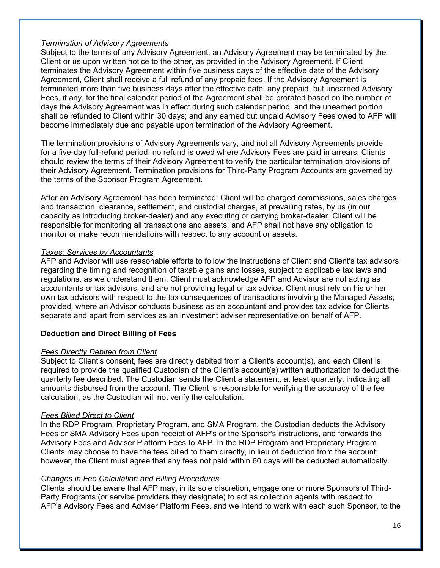## *Termination of Advisory Agreements*

Subject to the terms of any Advisory Agreement, an Advisory Agreement may be terminated by the Client or us upon written notice to the other, as provided in the Advisory Agreement. If Client terminates the Advisory Agreement within five business days of the effective date of the Advisory Agreement, Client shall receive a full refund of any prepaid fees. If the Advisory Agreement is terminated more than five business days after the effective date, any prepaid, but unearned Advisory Fees, if any, for the final calendar period of the Agreement shall be prorated based on the number of days the Advisory Agreement was in effect during such calendar period, and the unearned portion shall be refunded to Client within 30 days; and any earned but unpaid Advisory Fees owed to AFP will become immediately due and payable upon termination of the Advisory Agreement.

The termination provisions of Advisory Agreements vary, and not all Advisory Agreements provide for a five-day full-refund period; no refund is owed where Advisory Fees are paid in arrears. Clients should review the terms of their Advisory Agreement to verify the particular termination provisions of their Advisory Agreement. Termination provisions for Third-Party Program Accounts are governed by the terms of the Sponsor Program Agreement.

After an Advisory Agreement has been terminated: Client will be charged commissions, sales charges, and transaction, clearance, settlement, and custodial charges, at prevailing rates, by us (in our capacity as introducing broker-dealer) and any executing or carrying broker-dealer. Client will be responsible for monitoring all transactions and assets; and AFP shall not have any obligation to monitor or make recommendations with respect to any account or assets.

## *Taxes; Services by Accountants*

AFP and Advisor will use reasonable efforts to follow the instructions of Client and Client's tax advisors regarding the timing and recognition of taxable gains and losses, subject to applicable tax laws and regulations, as we understand them. Client must acknowledge AFP and Advisor are not acting as accountants or tax advisors, and are not providing legal or tax advice. Client must rely on his or her own tax advisors with respect to the tax consequences of transactions involving the Managed Assets; provided, where an Advisor conducts business as an accountant and provides tax advice for Clients separate and apart from services as an investment adviser representative on behalf of AFP.

## **Deduction and Direct Billing of Fees**

## *Fees Directly Debited from Client*

Subject to Client's consent, fees are directly debited from a Client's account(s), and each Client is required to provide the qualified Custodian of the Client's account(s) written authorization to deduct the quarterly fee described. The Custodian sends the Client a statement, at least quarterly, indicating all amounts disbursed from the account. The Client is responsible for verifying the accuracy of the fee calculation, as the Custodian will not verify the calculation.

## *Fees Billed Direct to Client*

In the RDP Program, Proprietary Program, and SMA Program, the Custodian deducts the Advisory Fees or SMA Advisory Fees upon receipt of AFP's or the Sponsor's instructions, and forwards the Advisory Fees and Adviser Platform Fees to AFP. In the RDP Program and Proprietary Program, Clients may choose to have the fees billed to them directly, in lieu of deduction from the account; however, the Client must agree that any fees not paid within 60 days will be deducted automatically.

## *Changes in Fee Calculation and Billing Procedures*

Clients should be aware that AFP may, in its sole discretion, engage one or more Sponsors of Third-Party Programs (or service providers they designate) to act as collection agents with respect to AFP's Advisory Fees and Adviser Platform Fees, and we intend to work with each such Sponsor, to the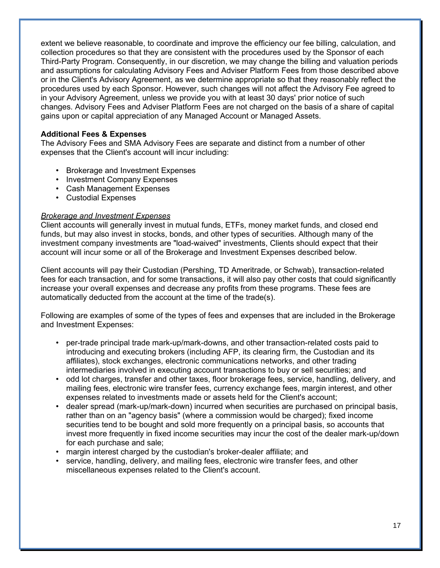extent we believe reasonable, to coordinate and improve the efficiency our fee billing, calculation, and collection procedures so that they are consistent with the procedures used by the Sponsor of each Third-Party Program. Consequently, in our discretion, we may change the billing and valuation periods and assumptions for calculating Advisory Fees and Adviser Platform Fees from those described above or in the Client's Advisory Agreement, as we determine appropriate so that they reasonably reflect the procedures used by each Sponsor. However, such changes will not affect the Advisory Fee agreed to in your Advisory Agreement, unless we provide you with at least 30 days' prior notice of such changes. Advisory Fees and Adviser Platform Fees are not charged on the basis of a share of capital gains upon or capital appreciation of any Managed Account or Managed Assets.

## **Additional Fees & Expenses**

The Advisory Fees and SMA Advisory Fees are separate and distinct from a number of other expenses that the Client's account will incur including:

- Brokerage and Investment Expenses
- Investment Company Expenses
- Cash Management Expenses
- Custodial Expenses

## *Brokerage and Investment Expenses*

Client accounts will generally invest in mutual funds, ETFs, money market funds, and closed end funds, but may also invest in stocks, bonds, and other types of securities. Although many of the investment company investments are "load-waived" investments, Clients should expect that their account will incur some or all of the Brokerage and Investment Expenses described below.

Client accounts will pay their Custodian (Pershing, TD Ameritrade, or Schwab), transaction-related fees for each transaction, and for some transactions, it will also pay other costs that could significantly increase your overall expenses and decrease any profits from these programs. These fees are automatically deducted from the account at the time of the trade(s).

Following are examples of some of the types of fees and expenses that are included in the Brokerage and Investment Expenses:

- per-trade principal trade mark-up/mark-downs, and other transaction-related costs paid to introducing and executing brokers (including AFP, its clearing firm, the Custodian and its affiliates), stock exchanges, electronic communications networks, and other trading intermediaries involved in executing account transactions to buy or sell securities; and
- odd lot charges, transfer and other taxes, floor brokerage fees, service, handling, delivery, and mailing fees, electronic wire transfer fees, currency exchange fees, margin interest, and other expenses related to investments made or assets held for the Client's account;
- dealer spread (mark-up/mark-down) incurred when securities are purchased on principal basis, rather than on an "agency basis" (where a commission would be charged); fixed income securities tend to be bought and sold more frequently on a principal basis, so accounts that invest more frequently in fixed income securities may incur the cost of the dealer mark-up/down for each purchase and sale;
- margin interest charged by the custodian's broker-dealer affiliate; and
- service, handling, delivery, and mailing fees, electronic wire transfer fees, and other miscellaneous expenses related to the Client's account.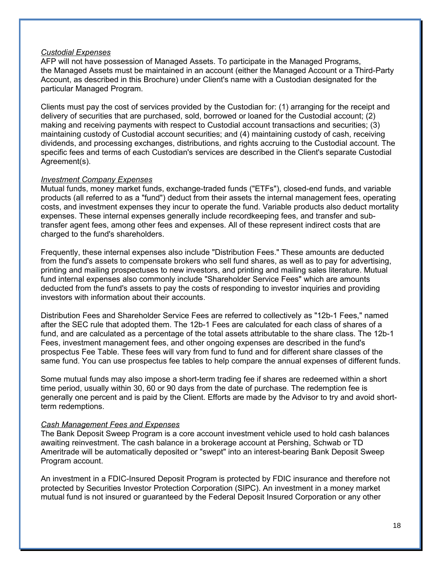#### *Custodial Expenses*

AFP will not have possession of Managed Assets. To participate in the Managed Programs, the Managed Assets must be maintained in an account (either the Managed Account or a Third-Party Account, as described in this Brochure) under Client's name with a Custodian designated for the particular Managed Program.

Clients must pay the cost of services provided by the Custodian for: (1) arranging for the receipt and delivery of securities that are purchased, sold, borrowed or loaned for the Custodial account; (2) making and receiving payments with respect to Custodial account transactions and securities; (3) maintaining custody of Custodial account securities; and (4) maintaining custody of cash, receiving dividends, and processing exchanges, distributions, and rights accruing to the Custodial account. The specific fees and terms of each Custodian's services are described in the Client's separate Custodial Agreement(s).

## *Investment Company Expenses*

Mutual funds, money market funds, exchange-traded funds ("ETFs"), closed-end funds, and variable products (all referred to as a "fund") deduct from their assets the internal management fees, operating costs, and investment expenses they incur to operate the fund. Variable products also deduct mortality expenses. These internal expenses generally include recordkeeping fees, and transfer and subtransfer agent fees, among other fees and expenses. All of these represent indirect costs that are charged to the fund's shareholders.

Frequently, these internal expenses also include "Distribution Fees." These amounts are deducted from the fund's assets to compensate brokers who sell fund shares, as well as to pay for advertising, printing and mailing prospectuses to new investors, and printing and mailing sales literature. Mutual fund internal expenses also commonly include "Shareholder Service Fees" which are amounts deducted from the fund's assets to pay the costs of responding to investor inquiries and providing investors with information about their accounts.

Distribution Fees and Shareholder Service Fees are referred to collectively as "12b-1 Fees," named after the SEC rule that adopted them. The 12b-1 Fees are calculated for each class of shares of a fund, and are calculated as a percentage of the total assets attributable to the share class. The 12b-1 Fees, investment management fees, and other ongoing expenses are described in the fund's prospectus Fee Table. These fees will vary from fund to fund and for different share classes of the same fund. You can use prospectus fee tables to help compare the annual expenses of different funds.

Some mutual funds may also impose a short-term trading fee if shares are redeemed within a short time period, usually within 30, 60 or 90 days from the date of purchase. The redemption fee is generally one percent and is paid by the Client. Efforts are made by the Advisor to try and avoid shortterm redemptions.

#### *Cash Management Fees and Expenses*

The Bank Deposit Sweep Program is a core account investment vehicle used to hold cash balances awaiting reinvestment. The cash balance in a brokerage account at Pershing, Schwab or TD Ameritrade will be automatically deposited or "swept" into an interest-bearing Bank Deposit Sweep Program account.

An investment in a FDIC-Insured Deposit Program is protected by FDIC insurance and therefore not protected by Securities Investor Protection Corporation (SIPC). An investment in a money market mutual fund is not insured or guaranteed by the Federal Deposit Insured Corporation or any other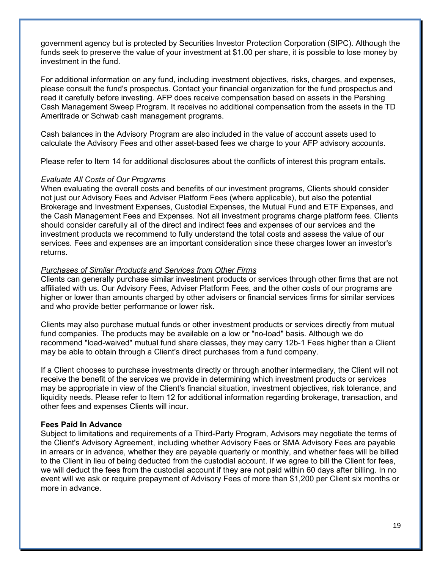government agency but is protected by Securities Investor Protection Corporation (SIPC). Although the funds seek to preserve the value of your investment at \$1.00 per share, it is possible to lose money by investment in the fund.

For additional information on any fund, including investment objectives, risks, charges, and expenses, please consult the fund's prospectus. Contact your financial organization for the fund prospectus and read it carefully before investing. AFP does receive compensation based on assets in the Pershing Cash Management Sweep Program. It receives no additional compensation from the assets in the TD Ameritrade or Schwab cash management programs.

Cash balances in the Advisory Program are also included in the value of account assets used to calculate the Advisory Fees and other asset-based fees we charge to your AFP advisory accounts.

Please refer to Item 14 for additional disclosures about the conflicts of interest this program entails.

#### *Evaluate All Costs of Our Programs*

When evaluating the overall costs and benefits of our investment programs, Clients should consider not just our Advisory Fees and Adviser Platform Fees (where applicable), but also the potential Brokerage and Investment Expenses, Custodial Expenses, the Mutual Fund and ETF Expenses, and the Cash Management Fees and Expenses. Not all investment programs charge platform fees. Clients should consider carefully all of the direct and indirect fees and expenses of our services and the investment products we recommend to fully understand the total costs and assess the value of our services. Fees and expenses are an important consideration since these charges lower an investor's returns.

#### *Purchases of Similar Products and Services from Other Firms*

Clients can generally purchase similar investment products or services through other firms that are not affiliated with us. Our Advisory Fees, Adviser Platform Fees, and the other costs of our programs are higher or lower than amounts charged by other advisers or financial services firms for similar services and who provide better performance or lower risk.

Clients may also purchase mutual funds or other investment products or services directly from mutual fund companies. The products may be available on a low or "no-load" basis. Although we do recommend "load-waived" mutual fund share classes, they may carry 12b-1 Fees higher than a Client may be able to obtain through a Client's direct purchases from a fund company.

If a Client chooses to purchase investments directly or through another intermediary, the Client will not receive the benefit of the services we provide in determining which investment products or services may be appropriate in view of the Client's financial situation, investment objectives, risk tolerance, and liquidity needs. Please refer to Item 12 for additional information regarding brokerage, transaction, and other fees and expenses Clients will incur.

#### **Fees Paid In Advance**

Subject to limitations and requirements of a Third-Party Program, Advisors may negotiate the terms of the Client's Advisory Agreement, including whether Advisory Fees or SMA Advisory Fees are payable in arrears or in advance, whether they are payable quarterly or monthly, and whether fees will be billed to the Client in lieu of being deducted from the custodial account. If we agree to bill the Client for fees, we will deduct the fees from the custodial account if they are not paid within 60 days after billing. In no event will we ask or require prepayment of Advisory Fees of more than \$1,200 per Client six months or more in advance.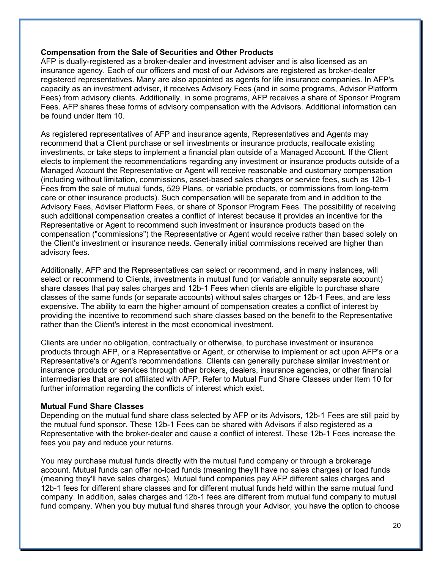#### **Compensation from the Sale of Securities and Other Products**

AFP is dually-registered as a broker-dealer and investment adviser and is also licensed as an insurance agency. Each of our officers and most of our Advisors are registered as broker-dealer registered representatives. Many are also appointed as agents for life insurance companies. In AFP's capacity as an investment adviser, it receives Advisory Fees (and in some programs, Advisor Platform Fees) from advisory clients. Additionally, in some programs, AFP receives a share of Sponsor Program Fees. AFP shares these forms of advisory compensation with the Advisors. Additional information can be found under Item 10.

As registered representatives of AFP and insurance agents, Representatives and Agents may recommend that a Client purchase or sell investments or insurance products, reallocate existing investments, or take steps to implement a financial plan outside of a Managed Account. If the Client elects to implement the recommendations regarding any investment or insurance products outside of a Managed Account the Representative or Agent will receive reasonable and customary compensation (including without limitation, commissions, asset-based sales charges or service fees, such as 12b-1 Fees from the sale of mutual funds, 529 Plans, or variable products, or commissions from long-term care or other insurance products). Such compensation will be separate from and in addition to the Advisory Fees, Adviser Platform Fees, or share of Sponsor Program Fees. The possibility of receiving such additional compensation creates a conflict of interest because it provides an incentive for the Representative or Agent to recommend such investment or insurance products based on the compensation ("commissions") the Representative or Agent would receive rather than based solely on the Client's investment or insurance needs. Generally initial commissions received are higher than advisory fees.

Additionally, AFP and the Representatives can select or recommend, and in many instances, will select or recommend to Clients, investments in mutual fund (or variable annuity separate account) share classes that pay sales charges and 12b-1 Fees when clients are eligible to purchase share classes of the same funds (or separate accounts) without sales charges or 12b-1 Fees, and are less expensive. The ability to earn the higher amount of compensation creates a conflict of interest by providing the incentive to recommend such share classes based on the benefit to the Representative rather than the Client's interest in the most economical investment.

Clients are under no obligation, contractually or otherwise, to purchase investment or insurance products through AFP, or a Representative or Agent, or otherwise to implement or act upon AFP's or a Representative's or Agent's recommendations. Clients can generally purchase similar investment or insurance products or services through other brokers, dealers, insurance agencies, or other financial intermediaries that are not affiliated with AFP. Refer to Mutual Fund Share Classes under Item 10 for further information regarding the conflicts of interest which exist.

## **Mutual Fund Share Classes**

Depending on the mutual fund share class selected by AFP or its Advisors, 12b-1 Fees are still paid by the mutual fund sponsor. These 12b-1 Fees can be shared with Advisors if also registered as a Representative with the broker-dealer and cause a conflict of interest. These 12b-1 Fees increase the fees you pay and reduce your returns.

You may purchase mutual funds directly with the mutual fund company or through a brokerage account. Mutual funds can offer no-load funds (meaning they'll have no sales charges) or load funds (meaning they'll have sales charges). Mutual fund companies pay AFP different sales charges and 12b-1 fees for different share classes and for different mutual funds held within the same mutual fund company. In addition, sales charges and 12b-1 fees are different from mutual fund company to mutual fund company. When you buy mutual fund shares through your Advisor, you have the option to choose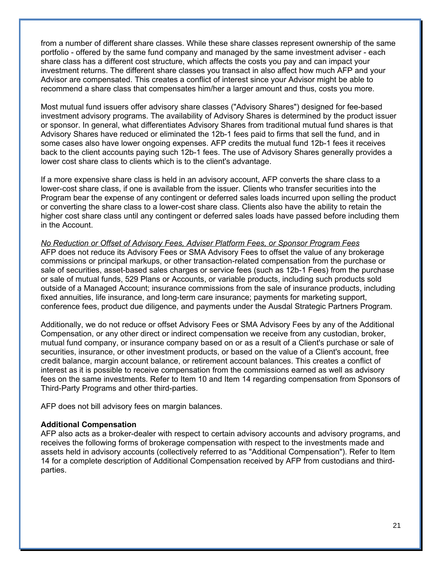from a number of different share classes. While these share classes represent ownership of the same portfolio - offered by the same fund company and managed by the same investment adviser - each share class has a different cost structure, which affects the costs you pay and can impact your investment returns. The different share classes you transact in also affect how much AFP and your Advisor are compensated. This creates a conflict of interest since your Advisor might be able to recommend a share class that compensates him/her a larger amount and thus, costs you more.

Most mutual fund issuers offer advisory share classes ("Advisory Shares") designed for fee-based investment advisory programs. The availability of Advisory Shares is determined by the product issuer or sponsor. In general, what differentiates Advisory Shares from traditional mutual fund shares is that Advisory Shares have reduced or eliminated the 12b-1 fees paid to firms that sell the fund, and in some cases also have lower ongoing expenses. AFP credits the mutual fund 12b-1 fees it receives back to the client accounts paying such 12b-1 fees. The use of Advisory Shares generally provides a lower cost share class to clients which is to the client's advantage.

If a more expensive share class is held in an advisory account, AFP converts the share class to a lower-cost share class, if one is available from the issuer. Clients who transfer securities into the Program bear the expense of any contingent or deferred sales loads incurred upon selling the product or converting the share class to a lower-cost share class. Clients also have the ability to retain the higher cost share class until any contingent or deferred sales loads have passed before including them in the Account.

#### *No Reduction or Offset of Advisory Fees, Adviser Platform Fees, or Sponsor Program Fees*

AFP does not reduce its Advisory Fees or SMA Advisory Fees to offset the value of any brokerage commissions or principal markups, or other transaction-related compensation from the purchase or sale of securities, asset-based sales charges or service fees (such as 12b-1 Fees) from the purchase or sale of mutual funds, 529 Plans or Accounts, or variable products, including such products sold outside of a Managed Account; insurance commissions from the sale of insurance products, including fixed annuities, life insurance, and long-term care insurance; payments for marketing support, conference fees, product due diligence, and payments under the Ausdal Strategic Partners Program.

Additionally, we do not reduce or offset Advisory Fees or SMA Advisory Fees by any of the Additional Compensation, or any other direct or indirect compensation we receive from any custodian, broker, mutual fund company, or insurance company based on or as a result of a Client's purchase or sale of securities, insurance, or other investment products, or based on the value of a Client's account, free credit balance, margin account balance, or retirement account balances. This creates a conflict of interest as it is possible to receive compensation from the commissions earned as well as advisory fees on the same investments. Refer to Item 10 and Item 14 regarding compensation from Sponsors of Third-Party Programs and other third-parties.

AFP does not bill advisory fees on margin balances.

#### **Additional Compensation**

AFP also acts as a broker-dealer with respect to certain advisory accounts and advisory programs, and receives the following forms of brokerage compensation with respect to the investments made and assets held in advisory accounts (collectively referred to as "Additional Compensation"). Refer to Item 14 for a complete description of Additional Compensation received by AFP from custodians and thirdparties.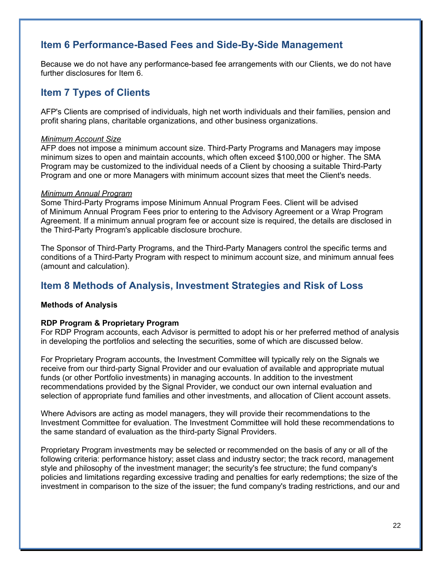## **Item 6 Performance-Based Fees and Side-By-Side Management**

Because we do not have any performance-based fee arrangements with our Clients, we do not have further disclosures for Item 6.

## **Item 7 Types of Clients**

AFP's Clients are comprised of individuals, high net worth individuals and their families, pension and profit sharing plans, charitable organizations, and other business organizations.

## *Minimum Account Size*

AFP does not impose a minimum account size. Third-Party Programs and Managers may impose minimum sizes to open and maintain accounts, which often exceed \$100,000 or higher. The SMA Program may be customized to the individual needs of a Client by choosing a suitable Third-Party Program and one or more Managers with minimum account sizes that meet the Client's needs.

## *Minimum Annual Program*

Some Third-Party Programs impose Minimum Annual Program Fees. Client will be advised of Minimum Annual Program Fees prior to entering to the Advisory Agreement or a Wrap Program Agreement. If a minimum annual program fee or account size is required, the details are disclosed in the Third-Party Program's applicable disclosure brochure.

The Sponsor of Third-Party Programs, and the Third-Party Managers control the specific terms and conditions of a Third-Party Program with respect to minimum account size, and minimum annual fees (amount and calculation).

## **Item 8 Methods of Analysis, Investment Strategies and Risk of Loss**

## **Methods of Analysis**

## **RDP Program & Proprietary Program**

For RDP Program accounts, each Advisor is permitted to adopt his or her preferred method of analysis in developing the portfolios and selecting the securities, some of which are discussed below.

For Proprietary Program accounts, the Investment Committee will typically rely on the Signals we receive from our third-party Signal Provider and our evaluation of available and appropriate mutual funds (or other Portfolio investments) in managing accounts. In addition to the investment recommendations provided by the Signal Provider, we conduct our own internal evaluation and selection of appropriate fund families and other investments, and allocation of Client account assets.

Where Advisors are acting as model managers, they will provide their recommendations to the Investment Committee for evaluation. The Investment Committee will hold these recommendations to the same standard of evaluation as the third-party Signal Providers.

Proprietary Program investments may be selected or recommended on the basis of any or all of the following criteria: performance history; asset class and industry sector; the track record, management style and philosophy of the investment manager; the security's fee structure; the fund company's policies and limitations regarding excessive trading and penalties for early redemptions; the size of the investment in comparison to the size of the issuer; the fund company's trading restrictions, and our and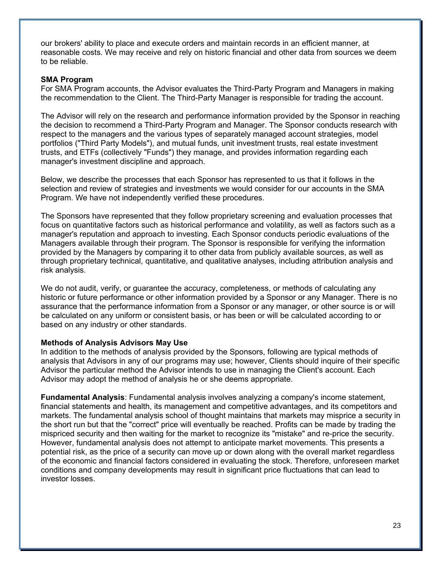our brokers' ability to place and execute orders and maintain records in an efficient manner, at reasonable costs. We may receive and rely on historic financial and other data from sources we deem to be reliable.

#### **SMA Program**

For SMA Program accounts, the Advisor evaluates the Third-Party Program and Managers in making the recommendation to the Client. The Third-Party Manager is responsible for trading the account.

The Advisor will rely on the research and performance information provided by the Sponsor in reaching the decision to recommend a Third-Party Program and Manager. The Sponsor conducts research with respect to the managers and the various types of separately managed account strategies, model portfolios ("Third Party Models"), and mutual funds, unit investment trusts, real estate investment trusts, and ETFs (collectively "Funds") they manage, and provides information regarding each manager's investment discipline and approach.

Below, we describe the processes that each Sponsor has represented to us that it follows in the selection and review of strategies and investments we would consider for our accounts in the SMA Program. We have not independently verified these procedures.

The Sponsors have represented that they follow proprietary screening and evaluation processes that focus on quantitative factors such as historical performance and volatility, as well as factors such as a manager's reputation and approach to investing. Each Sponsor conducts periodic evaluations of the Managers available through their program. The Sponsor is responsible for verifying the information provided by the Managers by comparing it to other data from publicly available sources, as well as through proprietary technical, quantitative, and qualitative analyses, including attribution analysis and risk analysis.

We do not audit, verify, or quarantee the accuracy, completeness, or methods of calculating any historic or future performance or other information provided by a Sponsor or any Manager. There is no assurance that the performance information from a Sponsor or any manager, or other source is or will be calculated on any uniform or consistent basis, or has been or will be calculated according to or based on any industry or other standards.

#### **Methods of Analysis Advisors May Use**

In addition to the methods of analysis provided by the Sponsors, following are typical methods of analysis that Advisors in any of our programs may use; however, Clients should inquire of their specific Advisor the particular method the Advisor intends to use in managing the Client's account. Each Advisor may adopt the method of analysis he or she deems appropriate.

**Fundamental Analysis**: Fundamental analysis involves analyzing a company's income statement, financial statements and health, its management and competitive advantages, and its competitors and markets. The fundamental analysis school of thought maintains that markets may misprice a security in the short run but that the "correct" price will eventually be reached. Profits can be made by trading the mispriced security and then waiting for the market to recognize its "mistake" and re-price the security. However, fundamental analysis does not attempt to anticipate market movements. This presents a potential risk, as the price of a security can move up or down along with the overall market regardless of the economic and financial factors considered in evaluating the stock. Therefore, unforeseen market conditions and company developments may result in significant price fluctuations that can lead to investor losses.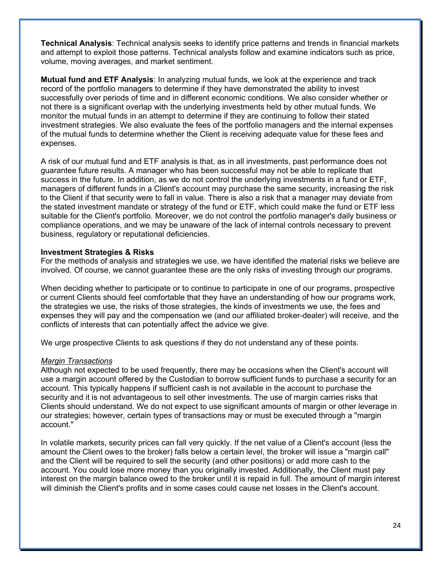**Technical Analysis**: Technical analysis seeks to identify price patterns and trends in financial markets and attempt to exploit those patterns. Technical analysts follow and examine indicators such as price, volume, moving averages, and market sentiment.

**Mutual fund and ETF Analysis**: In analyzing mutual funds, we look at the experience and track record of the portfolio managers to determine if they have demonstrated the ability to invest successfully over periods of time and in different economic conditions. We also consider whether or not there is a significant overlap with the underlying investments held by other mutual funds. We monitor the mutual funds in an attempt to determine if they are continuing to follow their stated investment strategies. We also evaluate the fees of the portfolio managers and the internal expenses of the mutual funds to determine whether the Client is receiving adequate value for these fees and expenses.

A risk of our mutual fund and ETF analysis is that, as in all investments, past performance does not guarantee future results. A manager who has been successful may not be able to replicate that success in the future. In addition, as we do not control the underlying investments in a fund or ETF, managers of different funds in a Client's account may purchase the same security, increasing the risk to the Client if that security were to fall in value. There is also a risk that a manager may deviate from the stated investment mandate or strategy of the fund or ETF, which could make the fund or ETF less suitable for the Client's portfolio. Moreover, we do not control the portfolio manager's daily business or compliance operations, and we may be unaware of the lack of internal controls necessary to prevent business, regulatory or reputational deficiencies.

#### **Investment Strategies & Risks**

For the methods of analysis and strategies we use, we have identified the material risks we believe are involved. Of course, we cannot guarantee these are the only risks of investing through our programs.

When deciding whether to participate or to continue to participate in one of our programs, prospective or current Clients should feel comfortable that they have an understanding of how our programs work, the strategies we use, the risks of those strategies, the kinds of investments we use, the fees and expenses they will pay and the compensation we (and our affiliated broker-dealer) will receive, and the conflicts of interests that can potentially affect the advice we give.

We urge prospective Clients to ask questions if they do not understand any of these points.

#### *Margin Transactions*

Although not expected to be used frequently, there may be occasions when the Client's account will use a margin account offered by the Custodian to borrow sufficient funds to purchase a security for an account. This typically happens if sufficient cash is not available in the account to purchase the security and it is not advantageous to sell other investments. The use of margin carries risks that Clients should understand. We do not expect to use significant amounts of margin or other leverage in our strategies; however, certain types of transactions may or must be executed through a "margin account."

In volatile markets, security prices can fall very quickly. If the net value of a Client's account (less the amount the Client owes to the broker) falls below a certain level, the broker will issue a "margin call" and the Client will be required to sell the security (and other positions) or add more cash to the account. You could lose more money than you originally invested. Additionally, the Client must pay interest on the margin balance owed to the broker until it is repaid in full. The amount of margin interest will diminish the Client's profits and in some cases could cause net losses in the Client's account.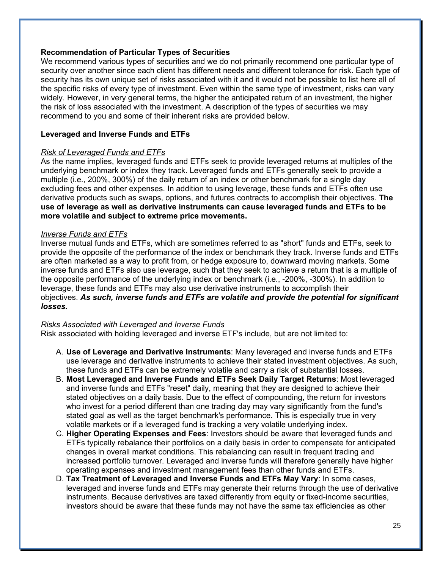## **Recommendation of Particular Types of Securities**

We recommend various types of securities and we do not primarily recommend one particular type of security over another since each client has different needs and different tolerance for risk. Each type of security has its own unique set of risks associated with it and it would not be possible to list here all of the specific risks of every type of investment. Even within the same type of investment, risks can vary widely. However, in very general terms, the higher the anticipated return of an investment, the higher the risk of loss associated with the investment. A description of the types of securities we may recommend to you and some of their inherent risks are provided below.

## **Leveraged and Inverse Funds and ETFs**

#### *Risk of Leveraged Funds and ETFs*

As the name implies, leveraged funds and ETFs seek to provide leveraged returns at multiples of the underlying benchmark or index they track. Leveraged funds and ETFs generally seek to provide a multiple (i.e., 200%, 300%) of the daily return of an index or other benchmark for a single day excluding fees and other expenses. In addition to using leverage, these funds and ETFs often use derivative products such as swaps, options, and futures contracts to accomplish their objectives. **The use of leverage as well as derivative instruments can cause leveraged funds and ETFs to be more volatile and subject to extreme price movements.**

#### *Inverse Funds and ETFs*

Inverse mutual funds and ETFs, which are sometimes referred to as "short" funds and ETFs, seek to provide the opposite of the performance of the index or benchmark they track. Inverse funds and ETFs are often marketed as a way to profit from, or hedge exposure to, downward moving markets. Some inverse funds and ETFs also use leverage, such that they seek to achieve a return that is a multiple of the opposite performance of the underlying index or benchmark (i.e., -200%, -300%). In addition to leverage, these funds and ETFs may also use derivative instruments to accomplish their objectives. *As such, inverse funds and ETFs are volatile and provide the potential for significant losses.*

#### *Risks Associated with Leveraged and Inverse Funds*

Risk associated with holding leveraged and inverse ETF's include, but are not limited to:

- A. **Use of Leverage and Derivative Instruments**: Many leveraged and inverse funds and ETFs use leverage and derivative instruments to achieve their stated investment objectives. As such, these funds and ETFs can be extremely volatile and carry a risk of substantial losses.
- B. **Most Leveraged and Inverse Funds and ETFs Seek Daily Target Returns**: Most leveraged and inverse funds and ETFs "reset" daily, meaning that they are designed to achieve their stated objectives on a daily basis. Due to the effect of compounding, the return for investors who invest for a period different than one trading day may vary significantly from the fund's stated goal as well as the target benchmark's performance. This is especially true in very volatile markets or if a leveraged fund is tracking a very volatile underlying index.
- C. **Higher Operating Expenses and Fees**: Investors should be aware that leveraged funds and ETFs typically rebalance their portfolios on a daily basis in order to compensate for anticipated changes in overall market conditions. This rebalancing can result in frequent trading and increased portfolio turnover. Leveraged and inverse funds will therefore generally have higher operating expenses and investment management fees than other funds and ETFs.
- D. **Tax Treatment of Leveraged and Inverse Funds and ETFs May Vary**: In some cases, leveraged and inverse funds and ETFs may generate their returns through the use of derivative instruments. Because derivatives are taxed differently from equity or fixed-income securities, investors should be aware that these funds may not have the same tax efficiencies as other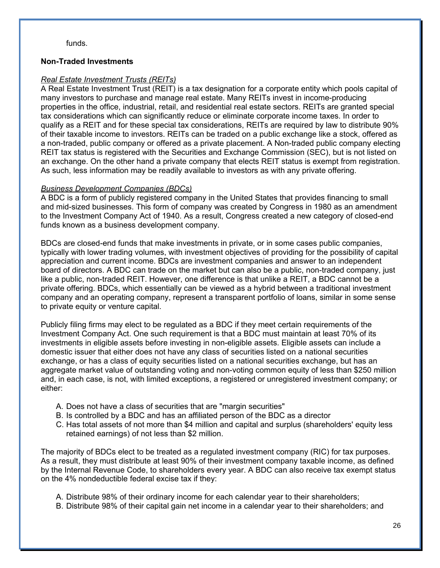funds.

## **Non-Traded Investments**

## *Real Estate Investment Trusts (REITs)*

A Real Estate Investment Trust (REIT) is a tax designation for a corporate entity which pools capital of many investors to purchase and manage real estate. Many REITs invest in income-producing properties in the office, industrial, retail, and residential real estate sectors. REITs are granted special tax considerations which can significantly reduce or eliminate corporate income taxes. In order to qualify as a REIT and for these special tax considerations, REITs are required by law to distribute 90% of their taxable income to investors. REITs can be traded on a public exchange like a stock, offered as a non-traded, public company or offered as a private placement. A Non-traded public company electing REIT tax status is registered with the Securities and Exchange Commission (SEC), but is not listed on an exchange. On the other hand a private company that elects REIT status is exempt from registration. As such, less information may be readily available to investors as with any private offering.

## *Business Development Companies (BDCs)*

A BDC is a form of publicly registered company in the United States that provides financing to small and mid-sized businesses. This form of company was created by Congress in 1980 as an amendment to the Investment Company Act of 1940. As a result, Congress created a new category of closed-end funds known as a business development company.

BDCs are closed-end funds that make investments in private, or in some cases public companies, typically with lower trading volumes, with investment objectives of providing for the possibility of capital appreciation and current income. BDCs are investment companies and answer to an independent board of directors. A BDC can trade on the market but can also be a public, non-traded company, just like a public, non-traded REIT. However, one difference is that unlike a REIT, a BDC cannot be a private offering. BDCs, which essentially can be viewed as a hybrid between a traditional investment company and an operating company, represent a transparent portfolio of loans, similar in some sense to private equity or venture capital.

Publicly filing firms may elect to be regulated as a BDC if they meet certain requirements of the Investment Company Act. One such requirement is that a BDC must maintain at least 70% of its investments in eligible assets before investing in non-eligible assets. Eligible assets can include a domestic issuer that either does not have any class of securities listed on a national securities exchange, or has a class of equity securities listed on a national securities exchange, but has an aggregate market value of outstanding voting and non-voting common equity of less than \$250 million and, in each case, is not, with limited exceptions, a registered or unregistered investment company; or either:

- A. Does not have a class of securities that are "margin securities"
- B. Is controlled by a BDC and has an affiliated person of the BDC as a director
- C. Has total assets of not more than \$4 million and capital and surplus (shareholders' equity less retained earnings) of not less than \$2 million.

The majority of BDCs elect to be treated as a regulated investment company (RIC) for tax purposes. As a result, they must distribute at least 90% of their investment company taxable income, as defined by the Internal Revenue Code, to shareholders every year. A BDC can also receive tax exempt status on the 4% nondeductible federal excise tax if they:

- A. Distribute 98% of their ordinary income for each calendar year to their shareholders;
- B. Distribute 98% of their capital gain net income in a calendar year to their shareholders; and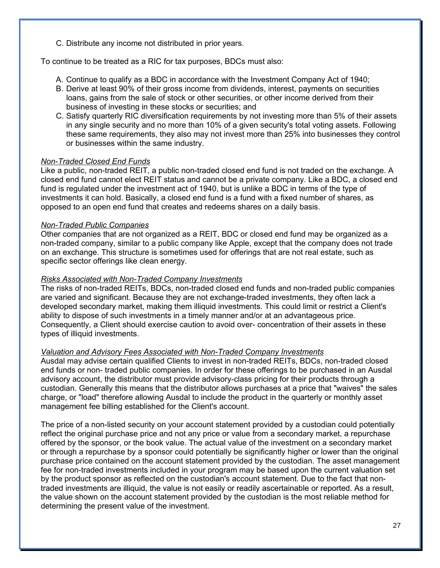C. Distribute any income not distributed in prior years.

To continue to be treated as a RIC for tax purposes, BDCs must also:

- A. Continue to qualify as a BDC in accordance with the Investment Company Act of 1940;
- B. Derive at least 90% of their gross income from dividends, interest, payments on securities loans, gains from the sale of stock or other securities, or other income derived from their business of investing in these stocks or securities; and
- C. Satisfy quarterly RIC diversification requirements by not investing more than 5% of their assets in any single security and no more than 10% of a given security's total voting assets. Following these same requirements, they also may not invest more than 25% into businesses they control or businesses within the same industry.

## *Non-Traded Closed End Funds*

Like a public, non-traded REIT, a public non-traded closed end fund is not traded on the exchange. A closed end fund cannot elect REIT status and cannot be a private company. Like a BDC, a closed end fund is regulated under the investment act of 1940, but is unlike a BDC in terms of the type of investments it can hold. Basically, a closed end fund is a fund with a fixed number of shares, as opposed to an open end fund that creates and redeems shares on a daily basis.

## *Non-Traded Public Companies*

Other companies that are not organized as a REIT, BDC or closed end fund may be organized as a non-traded company, similar to a public company like Apple, except that the company does not trade on an exchange. This structure is sometimes used for offerings that are not real estate, such as specific sector offerings like clean energy.

#### *Risks Associated with Non-Traded Company Investments*

The risks of non-traded REITs, BDCs, non-traded closed end funds and non-traded public companies are varied and significant. Because they are not exchange-traded investments, they often lack a developed secondary market, making them illiquid investments. This could limit or restrict a Client's ability to dispose of such investments in a timely manner and/or at an advantageous price. Consequently, a Client should exercise caution to avoid over- concentration of their assets in these types of illiquid investments.

#### *Valuation and Advisory Fees Associated with Non-Traded Company Investments*

Ausdal may advise certain qualified Clients to invest in non-traded REITs, BDCs, non-traded closed end funds or non- traded public companies. In order for these offerings to be purchased in an Ausdal advisory account, the distributor must provide advisory-class pricing for their products through a custodian. Generally this means that the distributor allows purchases at a price that "waives" the sales charge, or "load" therefore allowing Ausdal to include the product in the quarterly or monthly asset management fee billing established for the Client's account.

The price of a non-listed security on your account statement provided by a custodian could potentially reflect the original purchase price and not any price or value from a secondary market, a repurchase offered by the sponsor, or the book value. The actual value of the investment on a secondary market or through a repurchase by a sponsor could potentially be significantly higher or lower than the original purchase price contained on the account statement provided by the custodian. The asset management fee for non-traded investments included in your program may be based upon the current valuation set by the product sponsor as reflected on the custodian's account statement. Due to the fact that nontraded investments are illiquid, the value is not easily or readily ascertainable or reported. As a result, the value shown on the account statement provided by the custodian is the most reliable method for determining the present value of the investment.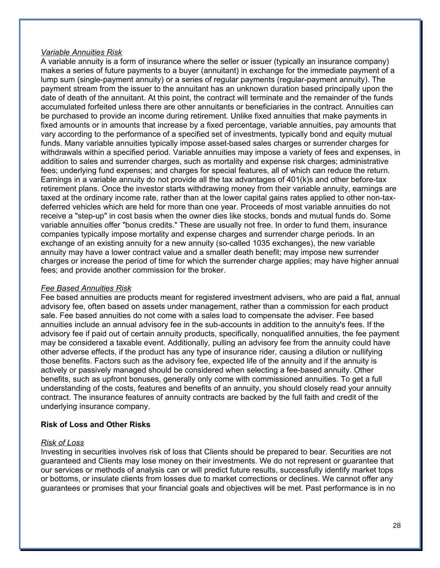#### *Variable Annuities Risk*

A variable annuity is a form of insurance where the seller or issuer (typically an insurance company) makes a series of future payments to a buyer (annuitant) in exchange for the immediate payment of a lump sum (single-payment annuity) or a series of regular payments (regular-payment annuity). The payment stream from the issuer to the annuitant has an unknown duration based principally upon the date of death of the annuitant. At this point, the contract will terminate and the remainder of the funds accumulated forfeited unless there are other annuitants or beneficiaries in the contract. Annuities can be purchased to provide an income during retirement. Unlike fixed annuities that make payments in fixed amounts or in amounts that increase by a fixed percentage, variable annuities, pay amounts that vary according to the performance of a specified set of investments, typically bond and equity mutual funds. Many variable annuities typically impose asset-based sales charges or surrender charges for withdrawals within a specified period. Variable annuities may impose a variety of fees and expenses, in addition to sales and surrender charges, such as mortality and expense risk charges; administrative fees; underlying fund expenses; and charges for special features, all of which can reduce the return. Earnings in a variable annuity do not provide all the tax advantages of 401(k)s and other before-tax retirement plans. Once the investor starts withdrawing money from their variable annuity, earnings are taxed at the ordinary income rate, rather than at the lower capital gains rates applied to other non-taxdeferred vehicles which are held for more than one year. Proceeds of most variable annuities do not receive a "step-up" in cost basis when the owner dies like stocks, bonds and mutual funds do. Some variable annuities offer "bonus credits." These are usually not free. In order to fund them, insurance companies typically impose mortality and expense charges and surrender charge periods. In an exchange of an existing annuity for a new annuity (so-called 1035 exchanges), the new variable annuity may have a lower contract value and a smaller death benefit; may impose new surrender charges or increase the period of time for which the surrender charge applies; may have higher annual fees; and provide another commission for the broker.

### *Fee Based Annuities Risk*

Fee based annuities are products meant for registered investment advisers, who are paid a flat, annual advisory fee, often based on assets under management, rather than a commission for each product sale. Fee based annuities do not come with a sales load to compensate the adviser. Fee based annuities include an annual advisory fee in the sub-accounts in addition to the annuity's fees. If the advisory fee if paid out of certain annuity products, specifically, nonqualified annuities, the fee payment may be considered a taxable event. Additionally, pulling an advisory fee from the annuity could have other adverse effects, if the product has any type of insurance rider, causing a dilution or nullifying those benefits. Factors such as the advisory fee, expected life of the annuity and if the annuity is actively or passively managed should be considered when selecting a fee-based annuity. Other benefits, such as upfront bonuses, generally only come with commissioned annuities. To get a full understanding of the costs, features and benefits of an annuity, you should closely read your annuity contract. The insurance features of annuity contracts are backed by the full faith and credit of the underlying insurance company.

## **Risk of Loss and Other Risks**

#### *Risk of Loss*

Investing in securities involves risk of loss that Clients should be prepared to bear. Securities are not guaranteed and Clients may lose money on their investments. We do not represent or guarantee that our services or methods of analysis can or will predict future results, successfully identify market tops or bottoms, or insulate clients from losses due to market corrections or declines. We cannot offer any guarantees or promises that your financial goals and objectives will be met. Past performance is in no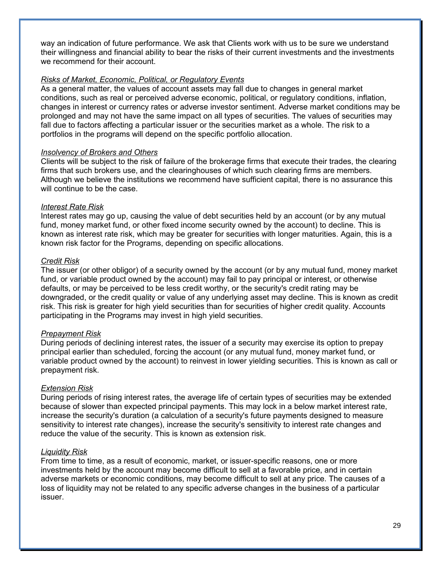way an indication of future performance. We ask that Clients work with us to be sure we understand their willingness and financial ability to bear the risks of their current investments and the investments we recommend for their account.

## *Risks of Market, Economic, Political, or Regulatory Events*

As a general matter, the values of account assets may fall due to changes in general market conditions, such as real or perceived adverse economic, political, or regulatory conditions, inflation, changes in interest or currency rates or adverse investor sentiment. Adverse market conditions may be prolonged and may not have the same impact on all types of securities. The values of securities may fall due to factors affecting a particular issuer or the securities market as a whole. The risk to a portfolios in the programs will depend on the specific portfolio allocation.

## *Insolvency of Brokers and Others*

Clients will be subject to the risk of failure of the brokerage firms that execute their trades, the clearing firms that such brokers use, and the clearinghouses of which such clearing firms are members. Although we believe the institutions we recommend have sufficient capital, there is no assurance this will continue to be the case.

## *Interest Rate Risk*

Interest rates may go up, causing the value of debt securities held by an account (or by any mutual fund, money market fund, or other fixed income security owned by the account) to decline. This is known as interest rate risk, which may be greater for securities with longer maturities. Again, this is a known risk factor for the Programs, depending on specific allocations.

## *Credit Risk*

The issuer (or other obligor) of a security owned by the account (or by any mutual fund, money market fund, or variable product owned by the account) may fail to pay principal or interest, or otherwise defaults, or may be perceived to be less credit worthy, or the security's credit rating may be downgraded, or the credit quality or value of any underlying asset may decline. This is known as credit risk. This risk is greater for high yield securities than for securities of higher credit quality. Accounts participating in the Programs may invest in high yield securities.

## *Prepayment Risk*

During periods of declining interest rates, the issuer of a security may exercise its option to prepay principal earlier than scheduled, forcing the account (or any mutual fund, money market fund, or variable product owned by the account) to reinvest in lower yielding securities. This is known as call or prepayment risk.

## *Extension Risk*

During periods of rising interest rates, the average life of certain types of securities may be extended because of slower than expected principal payments. This may lock in a below market interest rate, increase the security's duration (a calculation of a security's future payments designed to measure sensitivity to interest rate changes), increase the security's sensitivity to interest rate changes and reduce the value of the security. This is known as extension risk.

## *Liquidity Risk*

From time to time, as a result of economic, market, or issuer-specific reasons, one or more investments held by the account may become difficult to sell at a favorable price, and in certain adverse markets or economic conditions, may become difficult to sell at any price. The causes of a loss of liquidity may not be related to any specific adverse changes in the business of a particular issuer.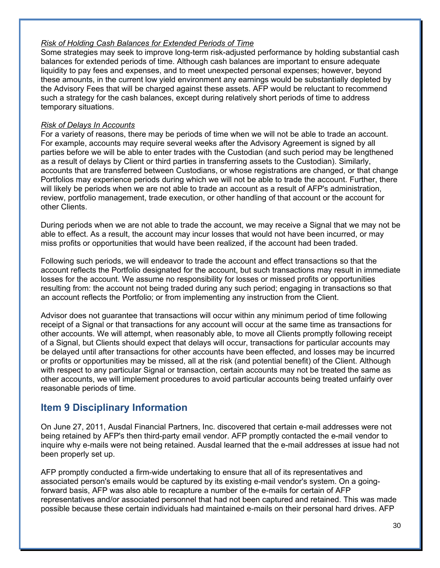## *Risk of Holding Cash Balances for Extended Periods of Time*

Some strategies may seek to improve long-term risk-adjusted performance by holding substantial cash balances for extended periods of time. Although cash balances are important to ensure adequate liquidity to pay fees and expenses, and to meet unexpected personal expenses; however, beyond these amounts, in the current low yield environment any earnings would be substantially depleted by the Advisory Fees that will be charged against these assets. AFP would be reluctant to recommend such a strategy for the cash balances, except during relatively short periods of time to address temporary situations.

## *Risk of Delays In Accounts*

For a variety of reasons, there may be periods of time when we will not be able to trade an account. For example, accounts may require several weeks after the Advisory Agreement is signed by all parties before we will be able to enter trades with the Custodian (and such period may be lengthened as a result of delays by Client or third parties in transferring assets to the Custodian). Similarly, accounts that are transferred between Custodians, or whose registrations are changed, or that change Portfolios may experience periods during which we will not be able to trade the account. Further, there will likely be periods when we are not able to trade an account as a result of AFP's administration, review, portfolio management, trade execution, or other handling of that account or the account for other Clients.

During periods when we are not able to trade the account, we may receive a Signal that we may not be able to effect. As a result, the account may incur losses that would not have been incurred, or may miss profits or opportunities that would have been realized, if the account had been traded.

Following such periods, we will endeavor to trade the account and effect transactions so that the account reflects the Portfolio designated for the account, but such transactions may result in immediate losses for the account. We assume no responsibility for losses or missed profits or opportunities resulting from: the account not being traded during any such period; engaging in transactions so that an account reflects the Portfolio; or from implementing any instruction from the Client.

Advisor does not guarantee that transactions will occur within any minimum period of time following receipt of a Signal or that transactions for any account will occur at the same time as transactions for other accounts. We will attempt, when reasonably able, to move all Clients promptly following receipt of a Signal, but Clients should expect that delays will occur, transactions for particular accounts may be delayed until after transactions for other accounts have been effected, and losses may be incurred or profits or opportunities may be missed, all at the risk (and potential benefit) of the Client. Although with respect to any particular Signal or transaction, certain accounts may not be treated the same as other accounts, we will implement procedures to avoid particular accounts being treated unfairly over reasonable periods of time.

## **Item 9 Disciplinary Information**

On June 27, 2011, Ausdal Financial Partners, Inc. discovered that certain e-mail addresses were not being retained by AFP's then third-party email vendor. AFP promptly contacted the e-mail vendor to inquire why e-mails were not being retained. Ausdal learned that the e-mail addresses at issue had not been properly set up.

AFP promptly conducted a firm-wide undertaking to ensure that all of its representatives and associated person's emails would be captured by its existing e-mail vendor's system. On a goingforward basis, AFP was also able to recapture a number of the e-mails for certain of AFP representatives and/or associated personnel that had not been captured and retained. This was made possible because these certain individuals had maintained e-mails on their personal hard drives. AFP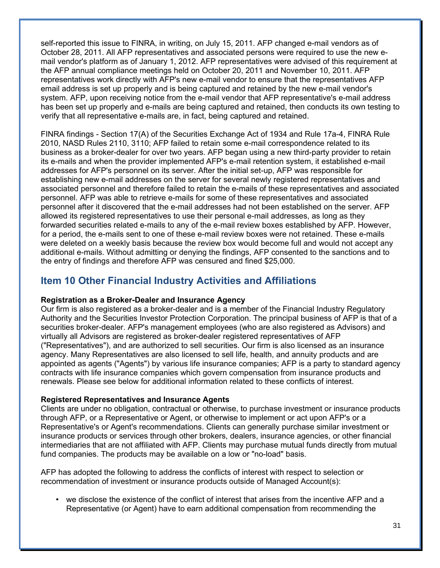self-reported this issue to FINRA, in writing, on July 15, 2011. AFP changed e-mail vendors as of October 28, 2011. All AFP representatives and associated persons were required to use the new email vendor's platform as of January 1, 2012. AFP representatives were advised of this requirement at the AFP annual compliance meetings held on October 20, 2011 and November 10, 2011. AFP representatives work directly with AFP's new e-mail vendor to ensure that the representatives AFP email address is set up properly and is being captured and retained by the new e-mail vendor's system. AFP, upon receiving notice from the e-mail vendor that AFP representative's e-mail address has been set up properly and e-mails are being captured and retained, then conducts its own testing to verify that all representative e-mails are, in fact, being captured and retained.

FINRA findings - Section 17(A) of the Securities Exchange Act of 1934 and Rule 17a-4, FINRA Rule 2010, NASD Rules 2110, 3110; AFP failed to retain some e-mail correspondence related to its business as a broker-dealer for over two years. AFP began using a new third-party provider to retain its e-mails and when the provider implemented AFP's e-mail retention system, it established e-mail addresses for AFP's personnel on its server. After the initial set-up, AFP was responsible for establishing new e-mail addresses on the server for several newly registered representatives and associated personnel and therefore failed to retain the e-mails of these representatives and associated personnel. AFP was able to retrieve e-mails for some of these representatives and associated personnel after it discovered that the e-mail addresses had not been established on the server. AFP allowed its registered representatives to use their personal e-mail addresses, as long as they forwarded securities related e-mails to any of the e-mail review boxes established by AFP. However, for a period, the e-mails sent to one of these e-mail review boxes were not retained. These e-mails were deleted on a weekly basis because the review box would become full and would not accept any additional e-mails. Without admitting or denying the findings, AFP consented to the sanctions and to the entry of findings and therefore AFP was censured and fined \$25,000.

# **Item 10 Other Financial Industry Activities and Affiliations**

## **Registration as a Broker-Dealer and Insurance Agency**

Our firm is also registered as a broker-dealer and is a member of the Financial Industry Regulatory Authority and the Securities Investor Protection Corporation. The principal business of AFP is that of a securities broker-dealer. AFP's management employees (who are also registered as Advisors) and virtually all Advisors are registered as broker-dealer registered representatives of AFP ("Representatives"), and are authorized to sell securities. Our firm is also licensed as an insurance agency. Many Representatives are also licensed to sell life, health, and annuity products and are appointed as agents ("Agents") by various life insurance companies; AFP is a party to standard agency contracts with life insurance companies which govern compensation from insurance products and renewals. Please see below for additional information related to these conflicts of interest.

## **Registered Representatives and Insurance Agents**

Clients are under no obligation, contractual or otherwise, to purchase investment or insurance products through AFP, or a Representative or Agent, or otherwise to implement or act upon AFP's or a Representative's or Agent's recommendations. Clients can generally purchase similar investment or insurance products or services through other brokers, dealers, insurance agencies, or other financial intermediaries that are not affiliated with AFP. Clients may purchase mutual funds directly from mutual fund companies. The products may be available on a low or "no-load" basis.

AFP has adopted the following to address the conflicts of interest with respect to selection or recommendation of investment or insurance products outside of Managed Account(s):

• we disclose the existence of the conflict of interest that arises from the incentive AFP and a Representative (or Agent) have to earn additional compensation from recommending the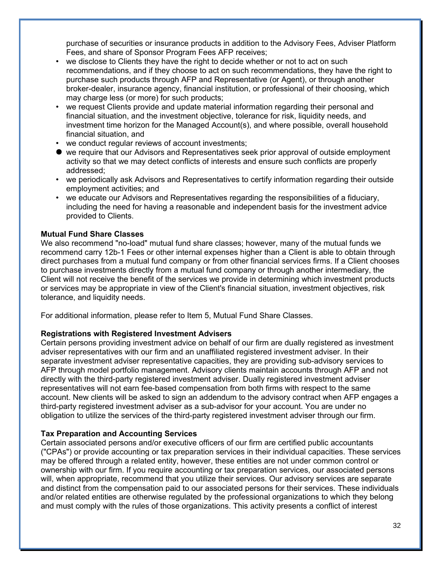purchase of securities or insurance products in addition to the Advisory Fees, Adviser Platform Fees, and share of Sponsor Program Fees AFP receives;

- we disclose to Clients they have the right to decide whether or not to act on such recommendations, and if they choose to act on such recommendations, they have the right to purchase such products through AFP and Representative (or Agent), or through another broker-dealer, insurance agency, financial institution, or professional of their choosing, which may charge less (or more) for such products;
- we request Clients provide and update material information regarding their personal and financial situation, and the investment objective, tolerance for risk, liquidity needs, and investment time horizon for the Managed Account(s), and where possible, overall household financial situation, and
- we conduct regular reviews of account investments;
- we require that our Advisors and Representatives seek prior approval of outside employment activity so that we may detect conflicts of interests and ensure such conflicts are properly addressed;
- we periodically ask Advisors and Representatives to certify information regarding their outside employment activities; and
- we educate our Advisors and Representatives regarding the responsibilities of a fiduciary, including the need for having a reasonable and independent basis for the investment advice provided to Clients.

#### **Mutual Fund Share Classes**

We also recommend "no-load" mutual fund share classes; however, many of the mutual funds we recommend carry 12b-1 Fees or other internal expenses higher than a Client is able to obtain through direct purchases from a mutual fund company or from other financial services firms. If a Client chooses to purchase investments directly from a mutual fund company or through another intermediary, the Client will not receive the benefit of the services we provide in determining which investment products or services may be appropriate in view of the Client's financial situation, investment objectives, risk tolerance, and liquidity needs.

For additional information, please refer to Item 5, Mutual Fund Share Classes.

#### **Registrations with Registered Investment Advisers**

Certain persons providing investment advice on behalf of our firm are dually registered as investment adviser representatives with our firm and an unaffiliated registered investment adviser. In their separate investment adviser representative capacities, they are providing sub-advisory services to AFP through model portfolio management. Advisory clients maintain accounts through AFP and not directly with the third-party registered investment adviser. Dually registered investment adviser representatives will not earn fee-based compensation from both firms with respect to the same account. New clients will be asked to sign an addendum to the advisory contract when AFP engages a third-party registered investment adviser as a sub-advisor for your account. You are under no obligation to utilize the services of the third-party registered investment adviser through our firm.

#### **Tax Preparation and Accounting Services**

Certain associated persons and/or executive officers of our firm are certified public accountants ("CPAs") or provide accounting or tax preparation services in their individual capacities. These services may be offered through a related entity, however, these entities are not under common control or ownership with our firm. If you require accounting or tax preparation services, our associated persons will, when appropriate, recommend that you utilize their services. Our advisory services are separate and distinct from the compensation paid to our associated persons for their services. These individuals and/or related entities are otherwise regulated by the professional organizations to which they belong and must comply with the rules of those organizations. This activity presents a conflict of interest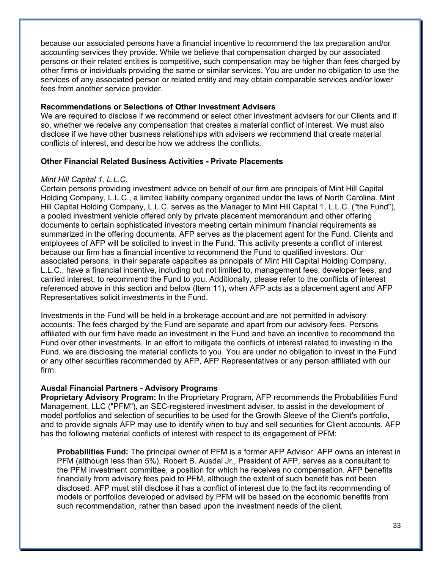because our associated persons have a financial incentive to recommend the tax preparation and/or accounting services they provide. While we believe that compensation charged by our associated persons or their related entities is competitive, such compensation may be higher than fees charged by other firms or individuals providing the same or similar services. You are under no obligation to use the services of any associated person or related entity and may obtain comparable services and/or lower fees from another service provider.

## **Recommendations or Selections of Other Investment Advisers**

We are required to disclose if we recommend or select other investment advisers for our Clients and if so, whether we receive any compensation that creates a material conflict of interest. We must also disclose if we have other business relationships with advisers we recommend that create material conflicts of interest, and describe how we address the conflicts.

## **Other Financial Related Business Activities - Private Placements**

#### *Mint Hill Capital 1, L.L.C.*

Certain persons providing investment advice on behalf of our firm are principals of Mint Hill Capital Holding Company, L.L.C., a limited liability company organized under the laws of North Carolina. Mint Hill Capital Holding Company, L.L.C. serves as the Manager to Mint Hill Capital 1, L.L.C. ("the Fund"), a pooled investment vehicle offered only by private placement memorandum and other offering documents to certain sophisticated investors meeting certain minimum financial requirements as summarized in the offering documents. AFP serves as the placement agent for the Fund. Clients and employees of AFP will be solicited to invest in the Fund. This activity presents a conflict of interest because our firm has a financial incentive to recommend the Fund to qualified investors. Our associated persons, in their separate capacities as principals of Mint Hill Capital Holding Company, L.L.C., have a financial incentive, including but not limited to, management fees, developer fees, and carried interest, to recommend the Fund to you. Additionally, please refer to the conflicts of interest referenced above in this section and below (Item 11), when AFP acts as a placement agent and AFP Representatives solicit investments in the Fund.

Investments in the Fund will be held in a brokerage account and are not permitted in advisory accounts. The fees charged by the Fund are separate and apart from our advisory fees. Persons affiliated with our firm have made an investment in the Fund and have an incentive to recommend the Fund over other investments. In an effort to mitigate the conflicts of interest related to investing in the Fund, we are disclosing the material conflicts to you. You are under no obligation to invest in the Fund or any other securities recommended by AFP, AFP Representatives or any person affiliated with our firm.

#### **Ausdal Financial Partners - Advisory Programs**

**Proprietary Advisory Program:** In the Proprietary Program, AFP recommends the Probabilities Fund Management, LLC ("PFM"), an SEC-registered investment adviser, to assist in the development of model portfolios and selection of securities to be used for the Growth Sleeve of the Client's portfolio, and to provide signals AFP may use to identify when to buy and sell securities for Client accounts. AFP has the following material conflicts of interest with respect to its engagement of PFM:

**Probabilities Fund:** The principal owner of PFM is a former AFP Advisor. AFP owns an interest in PFM (although less than 5%). Robert B. Ausdal Jr., President of AFP, serves as a consultant to the PFM investment committee, a position for which he receives no compensation. AFP benefits financially from advisory fees paid to PFM, although the extent of such benefit has not been disclosed. AFP must still disclose it has a conflict of interest due to the fact its recommending of models or portfolios developed or advised by PFM will be based on the economic benefits from such recommendation, rather than based upon the investment needs of the client.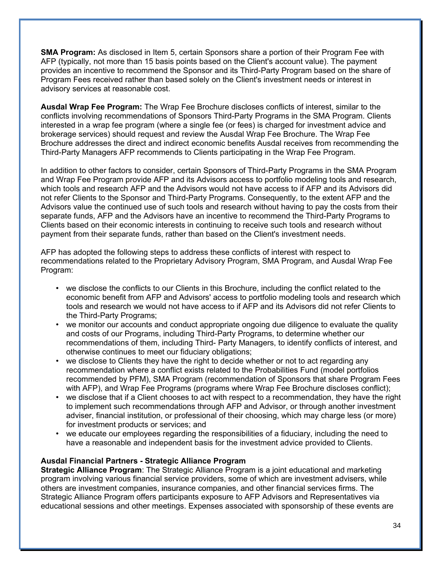**SMA Program:** As disclosed in Item 5, certain Sponsors share a portion of their Program Fee with AFP (typically, not more than 15 basis points based on the Client's account value). The payment provides an incentive to recommend the Sponsor and its Third-Party Program based on the share of Program Fees received rather than based solely on the Client's investment needs or interest in advisory services at reasonable cost.

**Ausdal Wrap Fee Program:** The Wrap Fee Brochure discloses conflicts of interest, similar to the conflicts involving recommendations of Sponsors Third-Party Programs in the SMA Program. Clients interested in a wrap fee program (where a single fee (or fees) is charged for investment advice and brokerage services) should request and review the Ausdal Wrap Fee Brochure. The Wrap Fee Brochure addresses the direct and indirect economic benefits Ausdal receives from recommending the Third-Party Managers AFP recommends to Clients participating in the Wrap Fee Program.

In addition to other factors to consider, certain Sponsors of Third-Party Programs in the SMA Program and Wrap Fee Program provide AFP and its Advisors access to portfolio modeling tools and research, which tools and research AFP and the Advisors would not have access to if AFP and its Advisors did not refer Clients to the Sponsor and Third-Party Programs. Consequently, to the extent AFP and the Advisors value the continued use of such tools and research without having to pay the costs from their separate funds, AFP and the Advisors have an incentive to recommend the Third-Party Programs to Clients based on their economic interests in continuing to receive such tools and research without payment from their separate funds, rather than based on the Client's investment needs.

AFP has adopted the following steps to address these conflicts of interest with respect to recommendations related to the Proprietary Advisory Program, SMA Program, and Ausdal Wrap Fee Program:

- we disclose the conflicts to our Clients in this Brochure, including the conflict related to the economic benefit from AFP and Advisors' access to portfolio modeling tools and research which tools and research we would not have access to if AFP and its Advisors did not refer Clients to the Third-Party Programs;
- we monitor our accounts and conduct appropriate ongoing due diligence to evaluate the quality and costs of our Programs, including Third-Party Programs, to determine whether our recommendations of them, including Third- Party Managers, to identify conflicts of interest, and otherwise continues to meet our fiduciary obligations;
- we disclose to Clients they have the right to decide whether or not to act regarding any recommendation where a conflict exists related to the Probabilities Fund (model portfolios recommended by PFM), SMA Program (recommendation of Sponsors that share Program Fees with AFP), and Wrap Fee Programs (programs where Wrap Fee Brochure discloses conflict);
- we disclose that if a Client chooses to act with respect to a recommendation, they have the right to implement such recommendations through AFP and Advisor, or through another investment adviser, financial institution, or professional of their choosing, which may charge less (or more) for investment products or services; and
- we educate our employees regarding the responsibilities of a fiduciary, including the need to have a reasonable and independent basis for the investment advice provided to Clients.

## **Ausdal Financial Partners - Strategic Alliance Program**

**Strategic Alliance Program**: The Strategic Alliance Program is a joint educational and marketing program involving various financial service providers, some of which are investment advisers, while others are investment companies, insurance companies, and other financial services firms. The Strategic Alliance Program offers participants exposure to AFP Advisors and Representatives via educational sessions and other meetings. Expenses associated with sponsorship of these events are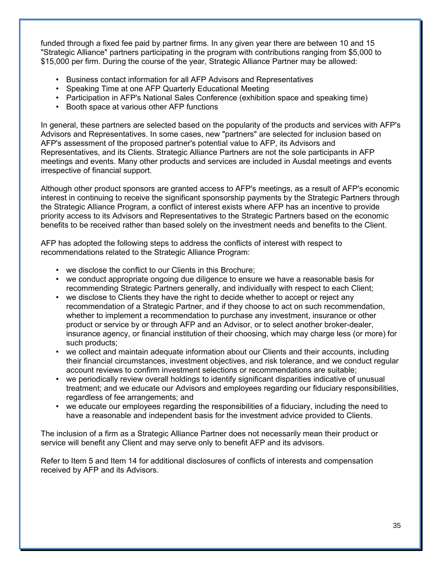funded through a fixed fee paid by partner firms. In any given year there are between 10 and 15 "Strategic Alliance" partners participating in the program with contributions ranging from \$5,000 to \$15,000 per firm. During the course of the year, Strategic Alliance Partner may be allowed:

- Business contact information for all AFP Advisors and Representatives
- Speaking Time at one AFP Quarterly Educational Meeting
- Participation in AFP's National Sales Conference (exhibition space and speaking time)
- Booth space at various other AFP functions

In general, these partners are selected based on the popularity of the products and services with AFP's Advisors and Representatives. In some cases, new "partners" are selected for inclusion based on AFP's assessment of the proposed partner's potential value to AFP, its Advisors and Representatives, and its Clients. Strategic Alliance Partners are not the sole participants in AFP meetings and events. Many other products and services are included in Ausdal meetings and events irrespective of financial support.

Although other product sponsors are granted access to AFP's meetings, as a result of AFP's economic interest in continuing to receive the significant sponsorship payments by the Strategic Partners through the Strategic Alliance Program, a conflict of interest exists where AFP has an incentive to provide priority access to its Advisors and Representatives to the Strategic Partners based on the economic benefits to be received rather than based solely on the investment needs and benefits to the Client.

AFP has adopted the following steps to address the conflicts of interest with respect to recommendations related to the Strategic Alliance Program:

- we disclose the conflict to our Clients in this Brochure;
- we conduct appropriate ongoing due diligence to ensure we have a reasonable basis for recommending Strategic Partners generally, and individually with respect to each Client;
- we disclose to Clients they have the right to decide whether to accept or reject any recommendation of a Strategic Partner, and if they choose to act on such recommendation, whether to implement a recommendation to purchase any investment, insurance or other product or service by or through AFP and an Advisor, or to select another broker-dealer, insurance agency, or financial institution of their choosing, which may charge less (or more) for such products;
- we collect and maintain adequate information about our Clients and their accounts, including their financial circumstances, investment objectives, and risk tolerance, and we conduct regular account reviews to confirm investment selections or recommendations are suitable;
- we periodically review overall holdings to identify significant disparities indicative of unusual treatment; and we educate our Advisors and employees regarding our fiduciary responsibilities, regardless of fee arrangements; and
- we educate our employees regarding the responsibilities of a fiduciary, including the need to have a reasonable and independent basis for the investment advice provided to Clients.

The inclusion of a firm as a Strategic Alliance Partner does not necessarily mean their product or service will benefit any Client and may serve only to benefit AFP and its advisors.

Refer to Item 5 and Item 14 for additional disclosures of conflicts of interests and compensation received by AFP and its Advisors.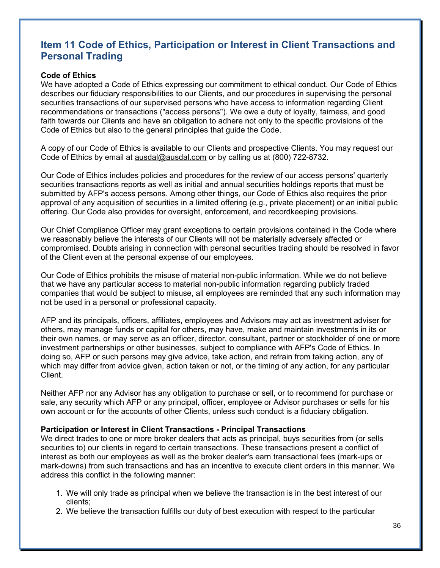## **Item 11 Code of Ethics, Participation or Interest in Client Transactions and Personal Trading**

### **Code of Ethics**

We have adopted a Code of Ethics expressing our commitment to ethical conduct. Our Code of Ethics describes our fiduciary responsibilities to our Clients, and our procedures in supervising the personal securities transactions of our supervised persons who have access to information regarding Client recommendations or transactions ("access persons"). We owe a duty of loyalty, fairness, and good faith towards our Clients and have an obligation to adhere not only to the specific provisions of the Code of Ethics but also to the general principles that guide the Code.

A copy of our Code of Ethics is available to our Clients and prospective Clients. You may request our Code of Ethics by email at ausdal@ausdal.com or by calling us at (800) 722-8732.

Our Code of Ethics includes policies and procedures for the review of our access persons' quarterly securities transactions reports as well as initial and annual securities holdings reports that must be submitted by AFP's access persons. Among other things, our Code of Ethics also requires the prior approval of any acquisition of securities in a limited offering (e.g., private placement) or an initial public offering. Our Code also provides for oversight, enforcement, and recordkeeping provisions.

Our Chief Compliance Officer may grant exceptions to certain provisions contained in the Code where we reasonably believe the interests of our Clients will not be materially adversely affected or compromised. Doubts arising in connection with personal securities trading should be resolved in favor of the Client even at the personal expense of our employees.

Our Code of Ethics prohibits the misuse of material non-public information. While we do not believe that we have any particular access to material non-public information regarding publicly traded companies that would be subject to misuse, all employees are reminded that any such information may not be used in a personal or professional capacity.

AFP and its principals, officers, affiliates, employees and Advisors may act as investment adviser for others, may manage funds or capital for others, may have, make and maintain investments in its or their own names, or may serve as an officer, director, consultant, partner or stockholder of one or more investment partnerships or other businesses, subject to compliance with AFP's Code of Ethics. In doing so, AFP or such persons may give advice, take action, and refrain from taking action, any of which may differ from advice given, action taken or not, or the timing of any action, for any particular Client.

Neither AFP nor any Advisor has any obligation to purchase or sell, or to recommend for purchase or sale, any security which AFP or any principal, officer, employee or Advisor purchases or sells for his own account or for the accounts of other Clients, unless such conduct is a fiduciary obligation.

#### **Participation or Interest in Client Transactions - Principal Transactions**

We direct trades to one or more broker dealers that acts as principal, buys securities from (or sells securities to) our clients in regard to certain transactions. These transactions present a conflict of interest as both our employees as well as the broker dealer's earn transactional fees (mark-ups or mark-downs) from such transactions and has an incentive to execute client orders in this manner. We address this conflict in the following manner:

- 1. We will only trade as principal when we believe the transaction is in the best interest of our clients;
- 2. We believe the transaction fulfills our duty of best execution with respect to the particular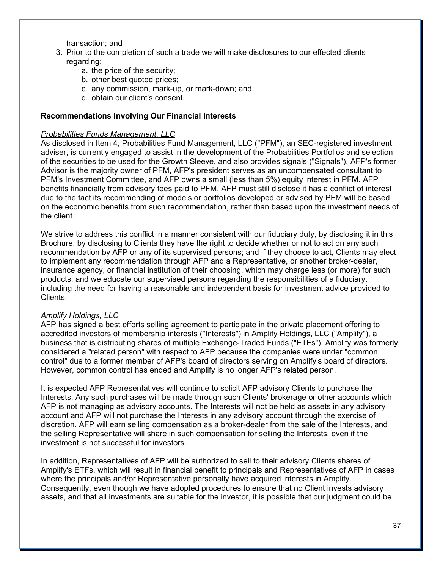transaction; and

- 3. Prior to the completion of such a trade we will make disclosures to our effected clients regarding:
	- a. the price of the security;
	- b. other best quoted prices;
	- c. any commission, mark-up, or mark-down; and
	- d. obtain our client's consent.

## **Recommendations Involving Our Financial Interests**

### *Probabilities Funds Management, LLC*

As disclosed in Item 4, Probabilities Fund Management, LLC ("PFM"), an SEC-registered investment adviser, is currently engaged to assist in the development of the Probabilities Portfolios and selection of the securities to be used for the Growth Sleeve, and also provides signals ("Signals"). AFP's former Advisor is the majority owner of PFM, AFP's president serves as an uncompensated consultant to PFM's Investment Committee, and AFP owns a small (less than 5%) equity interest in PFM. AFP benefits financially from advisory fees paid to PFM. AFP must still disclose it has a conflict of interest due to the fact its recommending of models or portfolios developed or advised by PFM will be based on the economic benefits from such recommendation, rather than based upon the investment needs of the client.

We strive to address this conflict in a manner consistent with our fiduciary duty, by disclosing it in this Brochure; by disclosing to Clients they have the right to decide whether or not to act on any such recommendation by AFP or any of its supervised persons; and if they choose to act, Clients may elect to implement any recommendation through AFP and a Representative, or another broker-dealer, insurance agency, or financial institution of their choosing, which may charge less (or more) for such products; and we educate our supervised persons regarding the responsibilities of a fiduciary, including the need for having a reasonable and independent basis for investment advice provided to Clients.

#### *Amplify Holdings, LLC*

AFP has signed a best efforts selling agreement to participate in the private placement offering to accredited investors of membership interests ("Interests") in Amplify Holdings, LLC ("Amplify"), a business that is distributing shares of multiple Exchange-Traded Funds ("ETFs"). Amplify was formerly considered a "related person" with respect to AFP because the companies were under "common control" due to a former member of AFP's board of directors serving on Amplify's board of directors. However, common control has ended and Amplify is no longer AFP's related person.

It is expected AFP Representatives will continue to solicit AFP advisory Clients to purchase the Interests. Any such purchases will be made through such Clients' brokerage or other accounts which AFP is not managing as advisory accounts. The Interests will not be held as assets in any advisory account and AFP will not purchase the Interests in any advisory account through the exercise of discretion. AFP will earn selling compensation as a broker-dealer from the sale of the Interests, and the selling Representative will share in such compensation for selling the Interests, even if the investment is not successful for investors.

In addition, Representatives of AFP will be authorized to sell to their advisory Clients shares of Amplify's ETFs, which will result in financial benefit to principals and Representatives of AFP in cases where the principals and/or Representative personally have acquired interests in Amplify. Consequently, even though we have adopted procedures to ensure that no Client invests advisory assets, and that all investments are suitable for the investor, it is possible that our judgment could be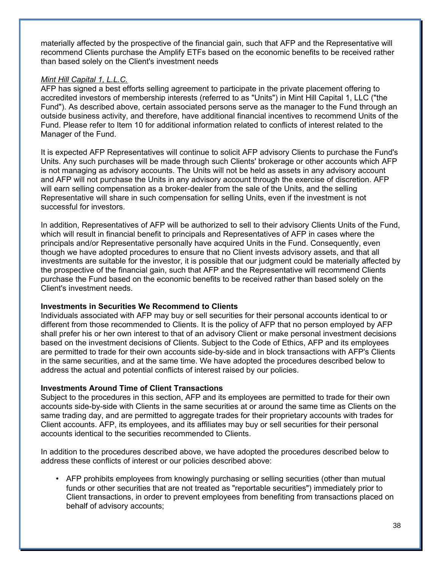materially affected by the prospective of the financial gain, such that AFP and the Representative will recommend Clients purchase the Amplify ETFs based on the economic benefits to be received rather than based solely on the Client's investment needs

## *Mint Hill Capital 1, L.L.C.*

AFP has signed a best efforts selling agreement to participate in the private placement offering to accredited investors of membership interests (referred to as "Units") in Mint Hill Capital 1, LLC ("the Fund"). As described above, certain associated persons serve as the manager to the Fund through an outside business activity, and therefore, have additional financial incentives to recommend Units of the Fund. Please refer to Item 10 for additional information related to conflicts of interest related to the Manager of the Fund.

It is expected AFP Representatives will continue to solicit AFP advisory Clients to purchase the Fund's Units. Any such purchases will be made through such Clients' brokerage or other accounts which AFP is not managing as advisory accounts. The Units will not be held as assets in any advisory account and AFP will not purchase the Units in any advisory account through the exercise of discretion. AFP will earn selling compensation as a broker-dealer from the sale of the Units, and the selling Representative will share in such compensation for selling Units, even if the investment is not successful for investors.

In addition, Representatives of AFP will be authorized to sell to their advisory Clients Units of the Fund, which will result in financial benefit to principals and Representatives of AFP in cases where the principals and/or Representative personally have acquired Units in the Fund. Consequently, even though we have adopted procedures to ensure that no Client invests advisory assets, and that all investments are suitable for the investor, it is possible that our judgment could be materially affected by the prospective of the financial gain, such that AFP and the Representative will recommend Clients purchase the Fund based on the economic benefits to be received rather than based solely on the Client's investment needs.

#### **Investments in Securities We Recommend to Clients**

Individuals associated with AFP may buy or sell securities for their personal accounts identical to or different from those recommended to Clients. It is the policy of AFP that no person employed by AFP shall prefer his or her own interest to that of an advisory Client or make personal investment decisions based on the investment decisions of Clients. Subject to the Code of Ethics, AFP and its employees are permitted to trade for their own accounts side-by-side and in block transactions with AFP's Clients in the same securities, and at the same time. We have adopted the procedures described below to address the actual and potential conflicts of interest raised by our policies.

## **Investments Around Time of Client Transactions**

Subject to the procedures in this section, AFP and its employees are permitted to trade for their own accounts side-by-side with Clients in the same securities at or around the same time as Clients on the same trading day, and are permitted to aggregate trades for their proprietary accounts with trades for Client accounts. AFP, its employees, and its affiliates may buy or sell securities for their personal accounts identical to the securities recommended to Clients.

In addition to the procedures described above, we have adopted the procedures described below to address these conflicts of interest or our policies described above:

• AFP prohibits employees from knowingly purchasing or selling securities (other than mutual funds or other securities that are not treated as "reportable securities") immediately prior to Client transactions, in order to prevent employees from benefiting from transactions placed on behalf of advisory accounts;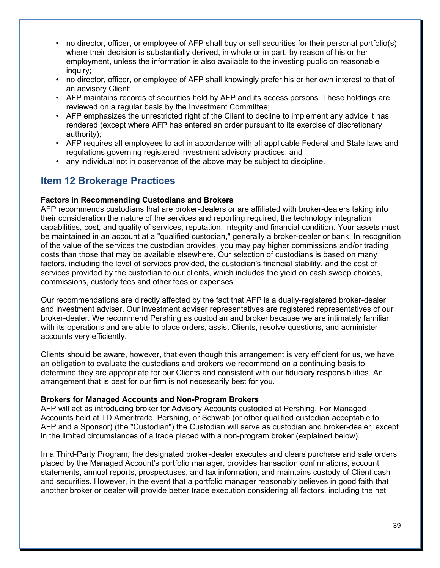- no director, officer, or employee of AFP shall buy or sell securities for their personal portfolio(s) where their decision is substantially derived, in whole or in part, by reason of his or her employment, unless the information is also available to the investing public on reasonable inquiry;
- no director, officer, or employee of AFP shall knowingly prefer his or her own interest to that of an advisory Client;
- AFP maintains records of securities held by AFP and its access persons. These holdings are reviewed on a regular basis by the Investment Committee;
- AFP emphasizes the unrestricted right of the Client to decline to implement any advice it has rendered (except where AFP has entered an order pursuant to its exercise of discretionary authority);
- AFP requires all employees to act in accordance with all applicable Federal and State laws and regulations governing registered investment advisory practices; and
- any individual not in observance of the above may be subject to discipline.

## **Item 12 Brokerage Practices**

## **Factors in Recommending Custodians and Brokers**

AFP recommends custodians that are broker-dealers or are affiliated with broker-dealers taking into their consideration the nature of the services and reporting required, the technology integration capabilities, cost, and quality of services, reputation, integrity and financial condition. Your assets must be maintained in an account at a "qualified custodian," generally a broker-dealer or bank. In recognition of the value of the services the custodian provides, you may pay higher commissions and/or trading costs than those that may be available elsewhere. Our selection of custodians is based on many factors, including the level of services provided, the custodian's financial stability, and the cost of services provided by the custodian to our clients, which includes the yield on cash sweep choices, commissions, custody fees and other fees or expenses.

Our recommendations are directly affected by the fact that AFP is a dually-registered broker-dealer and investment adviser. Our investment adviser representatives are registered representatives of our broker-dealer. We recommend Pershing as custodian and broker because we are intimately familiar with its operations and are able to place orders, assist Clients, resolve questions, and administer accounts very efficiently.

Clients should be aware, however, that even though this arrangement is very efficient for us, we have an obligation to evaluate the custodians and brokers we recommend on a continuing basis to determine they are appropriate for our Clients and consistent with our fiduciary responsibilities. An arrangement that is best for our firm is not necessarily best for you.

#### **Brokers for Managed Accounts and Non-Program Brokers**

AFP will act as introducing broker for Advisory Accounts custodied at Pershing. For Managed Accounts held at TD Ameritrade, Pershing, or Schwab (or other qualified custodian acceptable to AFP and a Sponsor) (the "Custodian") the Custodian will serve as custodian and broker-dealer, except in the limited circumstances of a trade placed with a non-program broker (explained below).

In a Third-Party Program, the designated broker-dealer executes and clears purchase and sale orders placed by the Managed Account's portfolio manager, provides transaction confirmations, account statements, annual reports, prospectuses, and tax information, and maintains custody of Client cash and securities. However, in the event that a portfolio manager reasonably believes in good faith that another broker or dealer will provide better trade execution considering all factors, including the net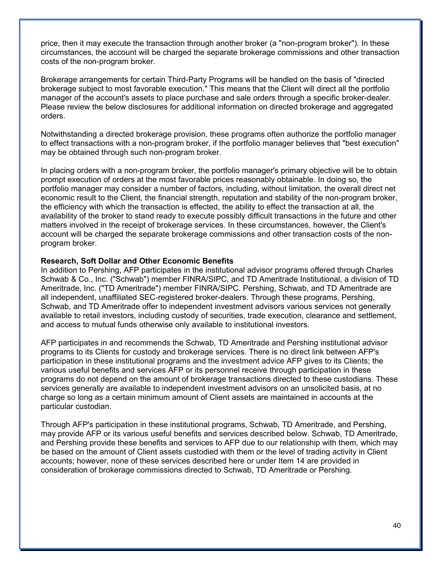price, then it may execute the transaction through another broker (a "non-program broker"). In these circumstances, the account will be charged the separate brokerage commissions and other transaction costs of the non-program broker.

Brokerage arrangements for certain Third-Party Programs will be handled on the basis of "directed brokerage subject to most favorable execution." This means that the Client will direct all the portfolio manager of the account's assets to place purchase and sale orders through a specific broker-dealer. Please review the below disclosures for additional information on directed brokerage and aggregated orders.

Notwithstanding a directed brokerage provision, these programs often authorize the portfolio manager to effect transactions with a non-program broker, if the portfolio manager believes that "best execution" may be obtained through such non-program broker.

In placing orders with a non-program broker, the portfolio manager's primary objective will be to obtain prompt execution of orders at the most favorable prices reasonably obtainable. In doing so, the portfolio manager may consider a number of factors, including, without limitation, the overall direct net economic result to the Client, the financial strength, reputation and stability of the non-program broker, the efficiency with which the transaction is effected, the ability to effect the transaction at all, the availability of the broker to stand ready to execute possibly difficult transactions in the future and other matters involved in the receipt of brokerage services. In these circumstances, however, the Client's account will be charged the separate brokerage commissions and other transaction costs of the nonprogram broker.

#### **Research, Soft Dollar and Other Economic Benefits**

In addition to Pershing, AFP participates in the institutional advisor programs offered through Charles Schwab & Co., Inc. ("Schwab") member FINRA/SIPC, and TD Ameritrade Institutional, a division of TD Ameritrade, Inc. ("TD Ameritrade") member FINRA/SIPC. Pershing, Schwab, and TD Ameritrade are all independent, unaffiliated SEC-registered broker-dealers. Through these programs, Pershing, Schwab, and TD Ameritrade offer to independent investment advisors various services not generally available to retail investors, including custody of securities, trade execution, clearance and settlement, and access to mutual funds otherwise only available to institutional investors.

AFP participates in and recommends the Schwab, TD Ameritrade and Pershing institutional advisor programs to its Clients for custody and brokerage services. There is no direct link between AFP's participation in these institutional programs and the investment advice AFP gives to its Clients; the various useful benefits and services AFP or its personnel receive through participation in these programs do not depend on the amount of brokerage transactions directed to these custodians. These services generally are available to independent investment advisors on an unsolicited basis, at no charge so long as a certain minimum amount of Client assets are maintained in accounts at the particular custodian.

Through AFP's participation in these institutional programs, Schwab, TD Ameritrade, and Pershing, may provide AFP or its various useful benefits and services described below. Schwab, TD Ameritrade, and Pershing provide these benefits and services to AFP due to our relationship with them, which may be based on the amount of Client assets custodied with them or the level of trading activity in Client accounts; however, none of these services described here or under Item 14 are provided in consideration of brokerage commissions directed to Schwab, TD Ameritrade or Pershing.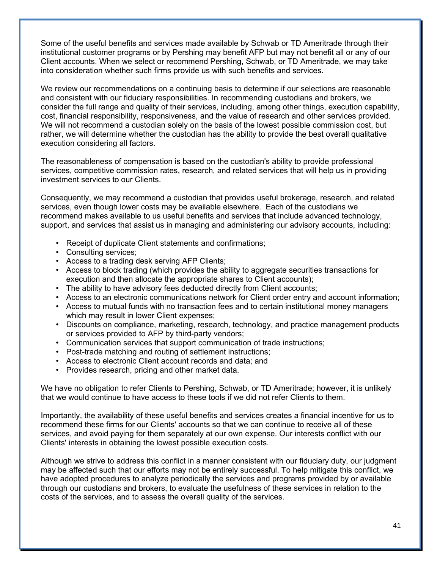Some of the useful benefits and services made available by Schwab or TD Ameritrade through their institutional customer programs or by Pershing may benefit AFP but may not benefit all or any of our Client accounts. When we select or recommend Pershing, Schwab, or TD Ameritrade, we may take into consideration whether such firms provide us with such benefits and services.

We review our recommendations on a continuing basis to determine if our selections are reasonable and consistent with our fiduciary responsibilities. In recommending custodians and brokers, we consider the full range and quality of their services, including, among other things, execution capability, cost, financial responsibility, responsiveness, and the value of research and other services provided. We will not recommend a custodian solely on the basis of the lowest possible commission cost, but rather, we will determine whether the custodian has the ability to provide the best overall qualitative execution considering all factors.

The reasonableness of compensation is based on the custodian's ability to provide professional services, competitive commission rates, research, and related services that will help us in providing investment services to our Clients.

Consequently, we may recommend a custodian that provides useful brokerage, research, and related services, even though lower costs may be available elsewhere. Each of the custodians we recommend makes available to us useful benefits and services that include advanced technology, support, and services that assist us in managing and administering our advisory accounts, including:

- Receipt of duplicate Client statements and confirmations;
- Consulting services;
- Access to a trading desk serving AFP Clients;
- Access to block trading (which provides the ability to aggregate securities transactions for execution and then allocate the appropriate shares to Client accounts);
- The ability to have advisory fees deducted directly from Client accounts;
- Access to an electronic communications network for Client order entry and account information;
- Access to mutual funds with no transaction fees and to certain institutional money managers which may result in lower Client expenses;
- Discounts on compliance, marketing, research, technology, and practice management products or services provided to AFP by third-party vendors;
- Communication services that support communication of trade instructions;
- Post-trade matching and routing of settlement instructions;
- Access to electronic Client account records and data; and
- Provides research, pricing and other market data.

We have no obligation to refer Clients to Pershing, Schwab, or TD Ameritrade; however, it is unlikely that we would continue to have access to these tools if we did not refer Clients to them.

Importantly, the availability of these useful benefits and services creates a financial incentive for us to recommend these firms for our Clients' accounts so that we can continue to receive all of these services, and avoid paying for them separately at our own expense. Our interests conflict with our Clients' interests in obtaining the lowest possible execution costs.

Although we strive to address this conflict in a manner consistent with our fiduciary duty, our judgment may be affected such that our efforts may not be entirely successful. To help mitigate this conflict, we have adopted procedures to analyze periodically the services and programs provided by or available through our custodians and brokers, to evaluate the usefulness of these services in relation to the costs of the services, and to assess the overall quality of the services.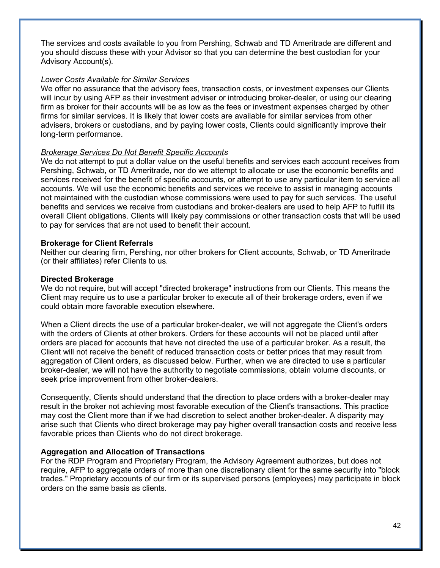The services and costs available to you from Pershing, Schwab and TD Ameritrade are different and you should discuss these with your Advisor so that you can determine the best custodian for your Advisory Account(s).

### *Lower Costs Available for Similar Services*

We offer no assurance that the advisory fees, transaction costs, or investment expenses our Clients will incur by using AFP as their investment adviser or introducing broker-dealer, or using our clearing firm as broker for their accounts will be as low as the fees or investment expenses charged by other firms for similar services. It is likely that lower costs are available for similar services from other advisers, brokers or custodians, and by paying lower costs, Clients could significantly improve their long-term performance.

## *Brokerage Services Do Not Benefit Specific Accounts*

We do not attempt to put a dollar value on the useful benefits and services each account receives from Pershing, Schwab, or TD Ameritrade, nor do we attempt to allocate or use the economic benefits and services received for the benefit of specific accounts, or attempt to use any particular item to service all accounts. We will use the economic benefits and services we receive to assist in managing accounts not maintained with the custodian whose commissions were used to pay for such services. The useful benefits and services we receive from custodians and broker-dealers are used to help AFP to fulfill its overall Client obligations. Clients will likely pay commissions or other transaction costs that will be used to pay for services that are not used to benefit their account.

## **Brokerage for Client Referrals**

Neither our clearing firm, Pershing, nor other brokers for Client accounts, Schwab, or TD Ameritrade (or their affiliates) refer Clients to us.

## **Directed Brokerage**

We do not require, but will accept "directed brokerage" instructions from our Clients. This means the Client may require us to use a particular broker to execute all of their brokerage orders, even if we could obtain more favorable execution elsewhere.

When a Client directs the use of a particular broker-dealer, we will not aggregate the Client's orders with the orders of Clients at other brokers. Orders for these accounts will not be placed until after orders are placed for accounts that have not directed the use of a particular broker. As a result, the Client will not receive the benefit of reduced transaction costs or better prices that may result from aggregation of Client orders, as discussed below. Further, when we are directed to use a particular broker-dealer, we will not have the authority to negotiate commissions, obtain volume discounts, or seek price improvement from other broker-dealers.

Consequently, Clients should understand that the direction to place orders with a broker-dealer may result in the broker not achieving most favorable execution of the Client's transactions. This practice may cost the Client more than if we had discretion to select another broker-dealer. A disparity may arise such that Clients who direct brokerage may pay higher overall transaction costs and receive less favorable prices than Clients who do not direct brokerage.

## **Aggregation and Allocation of Transactions**

For the RDP Program and Proprietary Program, the Advisory Agreement authorizes, but does not require, AFP to aggregate orders of more than one discretionary client for the same security into "block trades." Proprietary accounts of our firm or its supervised persons (employees) may participate in block orders on the same basis as clients.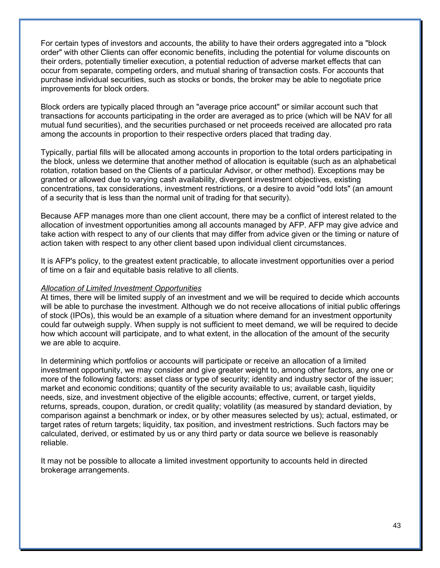For certain types of investors and accounts, the ability to have their orders aggregated into a "block order" with other Clients can offer economic benefits, including the potential for volume discounts on their orders, potentially timelier execution, a potential reduction of adverse market effects that can occur from separate, competing orders, and mutual sharing of transaction costs. For accounts that purchase individual securities, such as stocks or bonds, the broker may be able to negotiate price improvements for block orders.

Block orders are typically placed through an "average price account" or similar account such that transactions for accounts participating in the order are averaged as to price (which will be NAV for all mutual fund securities), and the securities purchased or net proceeds received are allocated pro rata among the accounts in proportion to their respective orders placed that trading day.

Typically, partial fills will be allocated among accounts in proportion to the total orders participating in the block, unless we determine that another method of allocation is equitable (such as an alphabetical rotation, rotation based on the Clients of a particular Advisor, or other method). Exceptions may be granted or allowed due to varying cash availability, divergent investment objectives, existing concentrations, tax considerations, investment restrictions, or a desire to avoid "odd lots" (an amount of a security that is less than the normal unit of trading for that security).

Because AFP manages more than one client account, there may be a conflict of interest related to the allocation of investment opportunities among all accounts managed by AFP. AFP may give advice and take action with respect to any of our clients that may differ from advice given or the timing or nature of action taken with respect to any other client based upon individual client circumstances.

It is AFP's policy, to the greatest extent practicable, to allocate investment opportunities over a period of time on a fair and equitable basis relative to all clients.

#### *Allocation of Limited Investment Opportunities*

At times, there will be limited supply of an investment and we will be required to decide which accounts will be able to purchase the investment. Although we do not receive allocations of initial public offerings of stock (IPOs), this would be an example of a situation where demand for an investment opportunity could far outweigh supply. When supply is not sufficient to meet demand, we will be required to decide how which account will participate, and to what extent, in the allocation of the amount of the security we are able to acquire.

In determining which portfolios or accounts will participate or receive an allocation of a limited investment opportunity, we may consider and give greater weight to, among other factors, any one or more of the following factors: asset class or type of security; identity and industry sector of the issuer; market and economic conditions; quantity of the security available to us; available cash, liquidity needs, size, and investment objective of the eligible accounts; effective, current, or target yields, returns, spreads, coupon, duration, or credit quality; volatility (as measured by standard deviation, by comparison against a benchmark or index, or by other measures selected by us); actual, estimated, or target rates of return targets; liquidity, tax position, and investment restrictions. Such factors may be calculated, derived, or estimated by us or any third party or data source we believe is reasonably reliable.

It may not be possible to allocate a limited investment opportunity to accounts held in directed brokerage arrangements.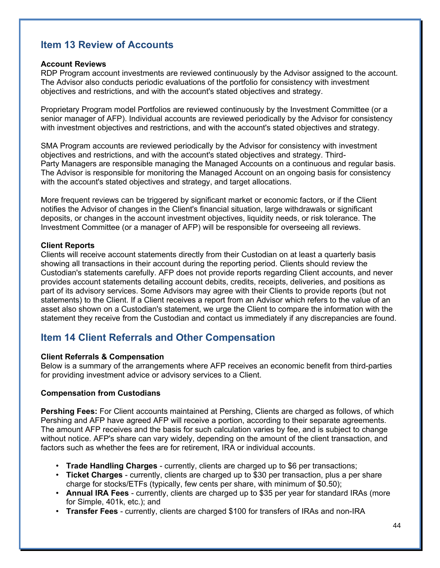## **Item 13 Review of Accounts**

#### **Account Reviews**

RDP Program account investments are reviewed continuously by the Advisor assigned to the account. The Advisor also conducts periodic evaluations of the portfolio for consistency with investment objectives and restrictions, and with the account's stated objectives and strategy.

Proprietary Program model Portfolios are reviewed continuously by the Investment Committee (or a senior manager of AFP). Individual accounts are reviewed periodically by the Advisor for consistency with investment objectives and restrictions, and with the account's stated objectives and strategy.

SMA Program accounts are reviewed periodically by the Advisor for consistency with investment objectives and restrictions, and with the account's stated objectives and strategy. Third-Party Managers are responsible managing the Managed Accounts on a continuous and regular basis. The Advisor is responsible for monitoring the Managed Account on an ongoing basis for consistency with the account's stated objectives and strategy, and target allocations.

More frequent reviews can be triggered by significant market or economic factors, or if the Client notifies the Advisor of changes in the Client's financial situation, large withdrawals or significant deposits, or changes in the account investment objectives, liquidity needs, or risk tolerance. The Investment Committee (or a manager of AFP) will be responsible for overseeing all reviews.

## **Client Reports**

Clients will receive account statements directly from their Custodian on at least a quarterly basis showing all transactions in their account during the reporting period. Clients should review the Custodian's statements carefully. AFP does not provide reports regarding Client accounts, and never provides account statements detailing account debits, credits, receipts, deliveries, and positions as part of its advisory services. Some Advisors may agree with their Clients to provide reports (but not statements) to the Client. If a Client receives a report from an Advisor which refers to the value of an asset also shown on a Custodian's statement, we urge the Client to compare the information with the statement they receive from the Custodian and contact us immediately if any discrepancies are found.

## **Item 14 Client Referrals and Other Compensation**

## **Client Referrals & Compensation**

Below is a summary of the arrangements where AFP receives an economic benefit from third-parties for providing investment advice or advisory services to a Client.

## **Compensation from Custodians**

**Pershing Fees:** For Client accounts maintained at Pershing, Clients are charged as follows, of which Pershing and AFP have agreed AFP will receive a portion, according to their separate agreements. The amount AFP receives and the basis for such calculation varies by fee, and is subject to change without notice. AFP's share can vary widely, depending on the amount of the client transaction, and factors such as whether the fees are for retirement, IRA or individual accounts.

- **Trade Handling Charges** currently, clients are charged up to \$6 per transactions;
- **Ticket Charges** currently, clients are charged up to \$30 per transaction, plus a per share charge for stocks/ETFs (typically, few cents per share, with minimum of \$0.50);
- **Annual IRA Fees** currently, clients are charged up to \$35 per year for standard IRAs (more for Simple, 401k, etc.); and
- **Transfer Fees** currently, clients are charged \$100 for transfers of IRAs and non-IRA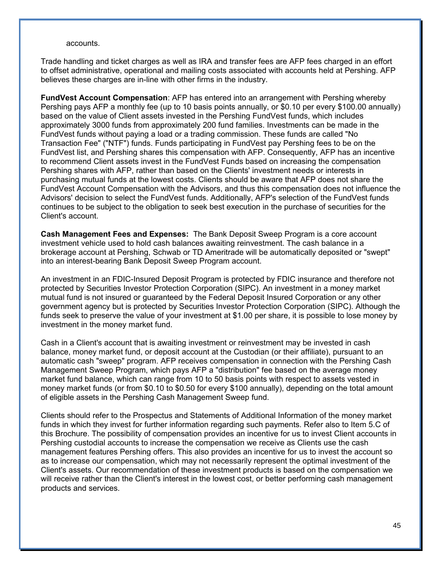#### accounts.

Trade handling and ticket charges as well as IRA and transfer fees are AFP fees charged in an effort to offset administrative, operational and mailing costs associated with accounts held at Pershing. AFP believes these charges are in-line with other firms in the industry.

**FundVest Account Compensation**: AFP has entered into an arrangement with Pershing whereby Pershing pays AFP a monthly fee (up to 10 basis points annually, or \$0.10 per every \$100.00 annually) based on the value of Client assets invested in the Pershing FundVest funds, which includes approximately 3000 funds from approximately 200 fund families. Investments can be made in the FundVest funds without paying a load or a trading commission. These funds are called "No Transaction Fee" ("NTF") funds. Funds participating in FundVest pay Pershing fees to be on the FundVest list, and Pershing shares this compensation with AFP. Consequently, AFP has an incentive to recommend Client assets invest in the FundVest Funds based on increasing the compensation Pershing shares with AFP, rather than based on the Clients' investment needs or interests in purchasing mutual funds at the lowest costs. Clients should be aware that AFP does not share the FundVest Account Compensation with the Advisors, and thus this compensation does not influence the Advisors' decision to select the FundVest funds. Additionally, AFP's selection of the FundVest funds continues to be subject to the obligation to seek best execution in the purchase of securities for the Client's account.

**Cash Management Fees and Expenses:** The Bank Deposit Sweep Program is a core account investment vehicle used to hold cash balances awaiting reinvestment. The cash balance in a brokerage account at Pershing, Schwab or TD Ameritrade will be automatically deposited or "swept" into an interest-bearing Bank Deposit Sweep Program account.

An investment in an FDIC-Insured Deposit Program is protected by FDIC insurance and therefore not protected by Securities Investor Protection Corporation (SIPC). An investment in a money market mutual fund is not insured or guaranteed by the Federal Deposit Insured Corporation or any other government agency but is protected by Securities Investor Protection Corporation (SIPC). Although the funds seek to preserve the value of your investment at \$1.00 per share, it is possible to lose money by investment in the money market fund.

Cash in a Client's account that is awaiting investment or reinvestment may be invested in cash balance, money market fund, or deposit account at the Custodian (or their affiliate), pursuant to an automatic cash "sweep" program. AFP receives compensation in connection with the Pershing Cash Management Sweep Program, which pays AFP a "distribution" fee based on the average money market fund balance, which can range from 10 to 50 basis points with respect to assets vested in money market funds (or from \$0.10 to \$0.50 for every \$100 annually), depending on the total amount of eligible assets in the Pershing Cash Management Sweep fund.

Clients should refer to the Prospectus and Statements of Additional Information of the money market funds in which they invest for further information regarding such payments. Refer also to Item 5.C of this Brochure. The possibility of compensation provides an incentive for us to invest Client accounts in Pershing custodial accounts to increase the compensation we receive as Clients use the cash management features Pershing offers. This also provides an incentive for us to invest the account so as to increase our compensation, which may not necessarily represent the optimal investment of the Client's assets. Our recommendation of these investment products is based on the compensation we will receive rather than the Client's interest in the lowest cost, or better performing cash management products and services.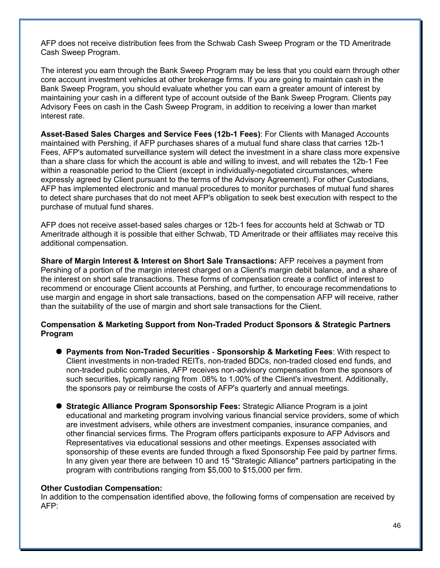AFP does not receive distribution fees from the Schwab Cash Sweep Program or the TD Ameritrade Cash Sweep Program.

The interest you earn through the Bank Sweep Program may be less that you could earn through other core account investment vehicles at other brokerage firms. If you are going to maintain cash in the Bank Sweep Program, you should evaluate whether you can earn a greater amount of interest by maintaining your cash in a different type of account outside of the Bank Sweep Program. Clients pay Advisory Fees on cash in the Cash Sweep Program, in addition to receiving a lower than market interest rate.

**Asset-Based Sales Charges and Service Fees (12b-1 Fees)**: For Clients with Managed Accounts maintained with Pershing, if AFP purchases shares of a mutual fund share class that carries 12b-1 Fees, AFP's automated surveillance system will detect the investment in a share class more expensive than a share class for which the account is able and willing to invest, and will rebates the 12b-1 Fee within a reasonable period to the Client (except in individually-negotiated circumstances, where expressly agreed by Client pursuant to the terms of the Advisory Agreement). For other Custodians, AFP has implemented electronic and manual procedures to monitor purchases of mutual fund shares to detect share purchases that do not meet AFP's obligation to seek best execution with respect to the purchase of mutual fund shares.

AFP does not receive asset-based sales charges or 12b-1 fees for accounts held at Schwab or TD Ameritrade although it is possible that either Schwab, TD Ameritrade or their affiliates may receive this additional compensation.

**Share of Margin Interest & Interest on Short Sale Transactions:** AFP receives a payment from Pershing of a portion of the margin interest charged on a Client's margin debit balance, and a share of the interest on short sale transactions. These forms of compensation create a conflict of interest to recommend or encourage Client accounts at Pershing, and further, to encourage recommendations to use margin and engage in short sale transactions, based on the compensation AFP will receive, rather than the suitability of the use of margin and short sale transactions for the Client.

## **Compensation & Marketing Support from Non-Traded Product Sponsors & Strategic Partners Program**

- **Payments from Non-Traded Securities Sponsorship & Marketing Fees**: With respect to Client investments in non-traded REITs, non-traded BDCs, non-traded closed end funds, and non-traded public companies, AFP receives non-advisory compensation from the sponsors of such securities, typically ranging from .08% to 1.00% of the Client's investment. Additionally, the sponsors pay or reimburse the costs of AFP's quarterly and annual meetings.
- **Strategic Alliance Program Sponsorship Fees:** Strategic Alliance Program is a joint educational and marketing program involving various financial service providers, some of which are investment advisers, while others are investment companies, insurance companies, and other financial services firms. The Program offers participants exposure to AFP Advisors and Representatives via educational sessions and other meetings. Expenses associated with sponsorship of these events are funded through a fixed Sponsorship Fee paid by partner firms. In any given year there are between 10 and 15 "Strategic Alliance" partners participating in the program with contributions ranging from \$5,000 to \$15,000 per firm.

#### **Other Custodian Compensation:**

In addition to the compensation identified above, the following forms of compensation are received by AFP: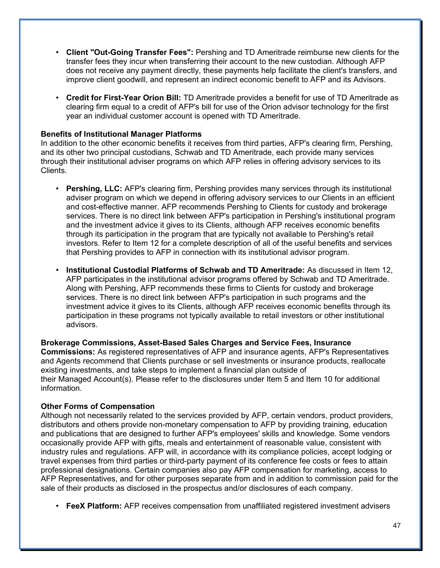- **Client "Out-Going Transfer Fees":** Pershing and TD Ameritrade reimburse new clients for the transfer fees they incur when transferring their account to the new custodian. Although AFP does not receive any payment directly, these payments help facilitate the client's transfers, and improve client goodwill, and represent an indirect economic benefit to AFP and its Advisors.
- **Credit for First-Year Orion Bill:** TD Ameritrade provides a benefit for use of TD Ameritrade as clearing firm equal to a credit of AFP's bill for use of the Orion advisor technology for the first year an individual customer account is opened with TD Ameritrade.

## **Benefits of Institutional Manager Platforms**

In addition to the other economic benefits it receives from third parties, AFP's clearing firm, Pershing, and its other two principal custodians, Schwab and TD Ameritrade, each provide many services through their institutional adviser programs on which AFP relies in offering advisory services to its Clients.

- **Pershing, LLC:** AFP's clearing firm, Pershing provides many services through its institutional adviser program on which we depend in offering advisory services to our Clients in an efficient and cost-effective manner. AFP recommends Pershing to Clients for custody and brokerage services. There is no direct link between AFP's participation in Pershing's institutional program and the investment advice it gives to its Clients, although AFP receives economic benefits through its participation in the program that are typically not available to Pershing's retail investors. Refer to Item 12 for a complete description of all of the useful benefits and services that Pershing provides to AFP in connection with its institutional advisor program.
- **Institutional Custodial Platforms of Schwab and TD Ameritrade:** As discussed in Item 12, AFP participates in the institutional advisor programs offered by Schwab and TD Ameritrade. Along with Pershing, AFP recommends these firms to Clients for custody and brokerage services. There is no direct link between AFP's participation in such programs and the investment advice it gives to its Clients, although AFP receives economic benefits through its participation in these programs not typically available to retail investors or other institutional advisors.

**Brokerage Commissions, Asset-Based Sales Charges and Service Fees, Insurance Commissions:** As registered representatives of AFP and insurance agents, AFP's Representatives and Agents recommend that Clients purchase or sell investments or insurance products, reallocate existing investments, and take steps to implement a financial plan outside of their Managed Account(s). Please refer to the disclosures under Item 5 and Item 10 for additional information.

## **Other Forms of Compensation**

Although not necessarily related to the services provided by AFP, certain vendors, product providers, distributors and others provide non-monetary compensation to AFP by providing training, education and publications that are designed to further AFP's employees' skills and knowledge. Some vendors occasionally provide AFP with gifts, meals and entertainment of reasonable value, consistent with industry rules and regulations. AFP will, in accordance with its compliance policies, accept lodging or travel expenses from third parties or third-party payment of its conference fee costs or fees to attain professional designations. Certain companies also pay AFP compensation for marketing, access to AFP Representatives, and for other purposes separate from and in addition to commission paid for the sale of their products as disclosed in the prospectus and/or disclosures of each company.

• **FeeX Platform:** AFP receives compensation from unaffiliated registered investment advisers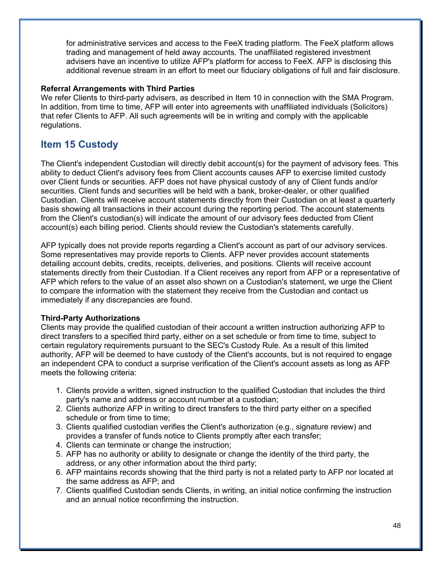for administrative services and access to the FeeX trading platform. The FeeX platform allows trading and management of held away accounts. The unaffiliated registered investment advisers have an incentive to utilize AFP's platform for access to FeeX. AFP is disclosing this additional revenue stream in an effort to meet our fiduciary obligations of full and fair disclosure.

## **Referral Arrangements with Third Parties**

We refer Clients to third-party advisers, as described in Item 10 in connection with the SMA Program. In addition, from time to time, AFP will enter into agreements with unaffiliated individuals (Solicitors) that refer Clients to AFP. All such agreements will be in writing and comply with the applicable regulations.

## **Item 15 Custody**

The Client's independent Custodian will directly debit account(s) for the payment of advisory fees. This ability to deduct Client's advisory fees from Client accounts causes AFP to exercise limited custody over Client funds or securities. AFP does not have physical custody of any of Client funds and/or securities. Client funds and securities will be held with a bank, broker-dealer, or other qualified Custodian. Clients will receive account statements directly from their Custodian on at least a quarterly basis showing all transactions in their account during the reporting period. The account statements from the Client's custodian(s) will indicate the amount of our advisory fees deducted from Client account(s) each billing period. Clients should review the Custodian's statements carefully.

AFP typically does not provide reports regarding a Client's account as part of our advisory services. Some representatives may provide reports to Clients. AFP never provides account statements detailing account debits, credits, receipts, deliveries, and positions. Clients will receive account statements directly from their Custodian. If a Client receives any report from AFP or a representative of AFP which refers to the value of an asset also shown on a Custodian's statement, we urge the Client to compare the information with the statement they receive from the Custodian and contact us immediately if any discrepancies are found.

## **Third-Party Authorizations**

Clients may provide the qualified custodian of their account a written instruction authorizing AFP to direct transfers to a specified third party, either on a set schedule or from time to time, subject to certain regulatory requirements pursuant to the SEC's Custody Rule. As a result of this limited authority, AFP will be deemed to have custody of the Client's accounts, but is not required to engage an independent CPA to conduct a surprise verification of the Client's account assets as long as AFP meets the following criteria:

- 1. Clients provide a written, signed instruction to the qualified Custodian that includes the third party's name and address or account number at a custodian;
- 2. Clients authorize AFP in writing to direct transfers to the third party either on a specified schedule or from time to time;
- 3. Clients qualified custodian verifies the Client's authorization (e.g., signature review) and provides a transfer of funds notice to Clients promptly after each transfer;
- 4. Clients can terminate or change the instruction;
- 5. AFP has no authority or ability to designate or change the identity of the third party, the address, or any other information about the third party;
- 6. AFP maintains records showing that the third party is not a related party to AFP nor located at the same address as AFP; and
- 7. Clients qualified Custodian sends Clients, in writing, an initial notice confirming the instruction and an annual notice reconfirming the instruction.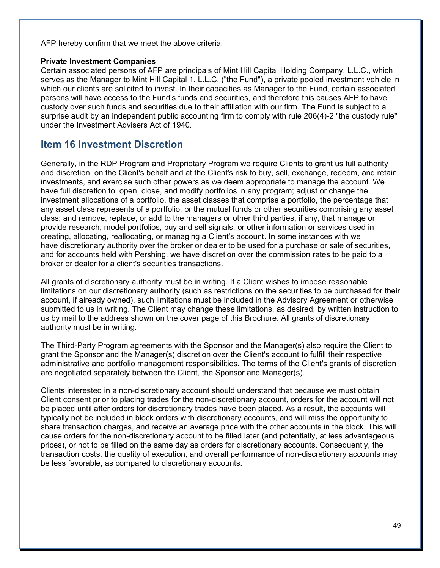AFP hereby confirm that we meet the above criteria.

#### **Private Investment Companies**

Certain associated persons of AFP are principals of Mint Hill Capital Holding Company, L.L.C., which serves as the Manager to Mint Hill Capital 1, L.L.C. ("the Fund"), a private pooled investment vehicle in which our clients are solicited to invest. In their capacities as Manager to the Fund, certain associated persons will have access to the Fund's funds and securities, and therefore this causes AFP to have custody over such funds and securities due to their affiliation with our firm. The Fund is subject to a surprise audit by an independent public accounting firm to comply with rule 206(4)-2 "the custody rule" under the Investment Advisers Act of 1940.

## **Item 16 Investment Discretion**

Generally, in the RDP Program and Proprietary Program we require Clients to grant us full authority and discretion, on the Client's behalf and at the Client's risk to buy, sell, exchange, redeem, and retain investments, and exercise such other powers as we deem appropriate to manage the account. We have full discretion to: open, close, and modify portfolios in any program; adjust or change the investment allocations of a portfolio, the asset classes that comprise a portfolio, the percentage that any asset class represents of a portfolio, or the mutual funds or other securities comprising any asset class; and remove, replace, or add to the managers or other third parties, if any, that manage or provide research, model portfolios, buy and sell signals, or other information or services used in creating, allocating, reallocating, or managing a Client's account. In some instances with we have discretionary authority over the broker or dealer to be used for a purchase or sale of securities, and for accounts held with Pershing, we have discretion over the commission rates to be paid to a broker or dealer for a client's securities transactions.

All grants of discretionary authority must be in writing. If a Client wishes to impose reasonable limitations on our discretionary authority (such as restrictions on the securities to be purchased for their account, if already owned), such limitations must be included in the Advisory Agreement or otherwise submitted to us in writing. The Client may change these limitations, as desired, by written instruction to us by mail to the address shown on the cover page of this Brochure. All grants of discretionary authority must be in writing.

The Third-Party Program agreements with the Sponsor and the Manager(s) also require the Client to grant the Sponsor and the Manager(s) discretion over the Client's account to fulfill their respective administrative and portfolio management responsibilities. The terms of the Client's grants of discretion are negotiated separately between the Client, the Sponsor and Manager(s).

Clients interested in a non-discretionary account should understand that because we must obtain Client consent prior to placing trades for the non-discretionary account, orders for the account will not be placed until after orders for discretionary trades have been placed. As a result, the accounts will typically not be included in block orders with discretionary accounts, and will miss the opportunity to share transaction charges, and receive an average price with the other accounts in the block. This will cause orders for the non-discretionary account to be filled later (and potentially, at less advantageous prices), or not to be filled on the same day as orders for discretionary accounts. Consequently, the transaction costs, the quality of execution, and overall performance of non-discretionary accounts may be less favorable, as compared to discretionary accounts.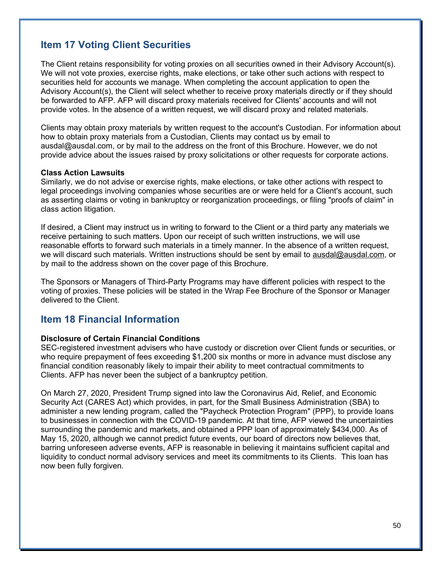## **Item 17 Voting Client Securities**

The Client retains responsibility for voting proxies on all securities owned in their Advisory Account(s). We will not vote proxies, exercise rights, make elections, or take other such actions with respect to securities held for accounts we manage. When completing the account application to open the Advisory Account(s), the Client will select whether to receive proxy materials directly or if they should be forwarded to AFP. AFP will discard proxy materials received for Clients' accounts and will not provide votes. In the absence of a written request, we will discard proxy and related materials.

Clients may obtain proxy materials by written request to the account's Custodian. For information about how to obtain proxy materials from a Custodian, Clients may contact us by email to ausdal@ausdal.com, or by mail to the address on the front of this Brochure. However, we do not provide advice about the issues raised by proxy solicitations or other requests for corporate actions.

#### **Class Action Lawsuits**

Similarly, we do not advise or exercise rights, make elections, or take other actions with respect to legal proceedings involving companies whose securities are or were held for a Client's account, such as asserting claims or voting in bankruptcy or reorganization proceedings, or filing "proofs of claim" in class action litigation.

If desired, a Client may instruct us in writing to forward to the Client or a third party any materials we receive pertaining to such matters. Upon our receipt of such written instructions, we will use reasonable efforts to forward such materials in a timely manner. In the absence of a written request, we will discard such materials. Written instructions should be sent by email to ausdal@ausdal.com, or by mail to the address shown on the cover page of this Brochure.

The Sponsors or Managers of Third-Party Programs may have different policies with respect to the voting of proxies. These policies will be stated in the Wrap Fee Brochure of the Sponsor or Manager delivered to the Client.

## **Item 18 Financial Information**

#### **Disclosure of Certain Financial Conditions**

SEC-registered investment advisers who have custody or discretion over Client funds or securities, or who require prepayment of fees exceeding \$1,200 six months or more in advance must disclose any financial condition reasonably likely to impair their ability to meet contractual commitments to Clients. AFP has never been the subject of a bankruptcy petition.

On March 27, 2020, President Trump signed into law the Coronavirus Aid, Relief, and Economic Security Act (CARES Act) which provides, in part, for the Small Business Administration (SBA) to administer a new lending program, called the "Paycheck Protection Program" (PPP), to provide loans to businesses in connection with the COVID-19 pandemic. At that time, AFP viewed the uncertainties surrounding the pandemic and markets, and obtained a PPP loan of approximately \$434,000. As of May 15, 2020, although we cannot predict future events, our board of directors now believes that, barring unforeseen adverse events, AFP is reasonable in believing it maintains sufficient capital and liquidity to conduct normal advisory services and meet its commitments to its Clients. This loan has now been fully forgiven.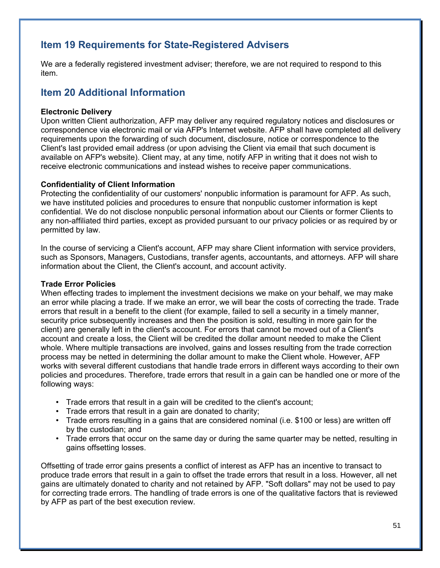## **Item 19 Requirements for State-Registered Advisers**

We are a federally registered investment adviser; therefore, we are not required to respond to this item.

## **Item 20 Additional Information**

## **Electronic Delivery**

Upon written Client authorization, AFP may deliver any required regulatory notices and disclosures or correspondence via electronic mail or via AFP's Internet website. AFP shall have completed all delivery requirements upon the forwarding of such document, disclosure, notice or correspondence to the Client's last provided email address (or upon advising the Client via email that such document is available on AFP's website). Client may, at any time, notify AFP in writing that it does not wish to receive electronic communications and instead wishes to receive paper communications.

## **Confidentiality of Client Information**

Protecting the confidentiality of our customers' nonpublic information is paramount for AFP. As such, we have instituted policies and procedures to ensure that nonpublic customer information is kept confidential. We do not disclose nonpublic personal information about our Clients or former Clients to any non-affiliated third parties, except as provided pursuant to our privacy policies or as required by or permitted by law.

In the course of servicing a Client's account, AFP may share Client information with service providers, such as Sponsors, Managers, Custodians, transfer agents, accountants, and attorneys. AFP will share information about the Client, the Client's account, and account activity.

### **Trade Error Policies**

When effecting trades to implement the investment decisions we make on your behalf, we may make an error while placing a trade. If we make an error, we will bear the costs of correcting the trade. Trade errors that result in a benefit to the client (for example, failed to sell a security in a timely manner, security price subsequently increases and then the position is sold, resulting in more gain for the client) are generally left in the client's account. For errors that cannot be moved out of a Client's account and create a loss, the Client will be credited the dollar amount needed to make the Client whole. Where multiple transactions are involved, gains and losses resulting from the trade correction process may be netted in determining the dollar amount to make the Client whole. However, AFP works with several different custodians that handle trade errors in different ways according to their own policies and procedures. Therefore, trade errors that result in a gain can be handled one or more of the following ways:

- Trade errors that result in a gain will be credited to the client's account;
- Trade errors that result in a gain are donated to charity;
- Trade errors resulting in a gains that are considered nominal (i.e. \$100 or less) are written off by the custodian; and
- Trade errors that occur on the same day or during the same quarter may be netted, resulting in gains offsetting losses.

Offsetting of trade error gains presents a conflict of interest as AFP has an incentive to transact to produce trade errors that result in a gain to offset the trade errors that result in a loss. However, all net gains are ultimately donated to charity and not retained by AFP. "Soft dollars" may not be used to pay for correcting trade errors. The handling of trade errors is one of the qualitative factors that is reviewed by AFP as part of the best execution review.